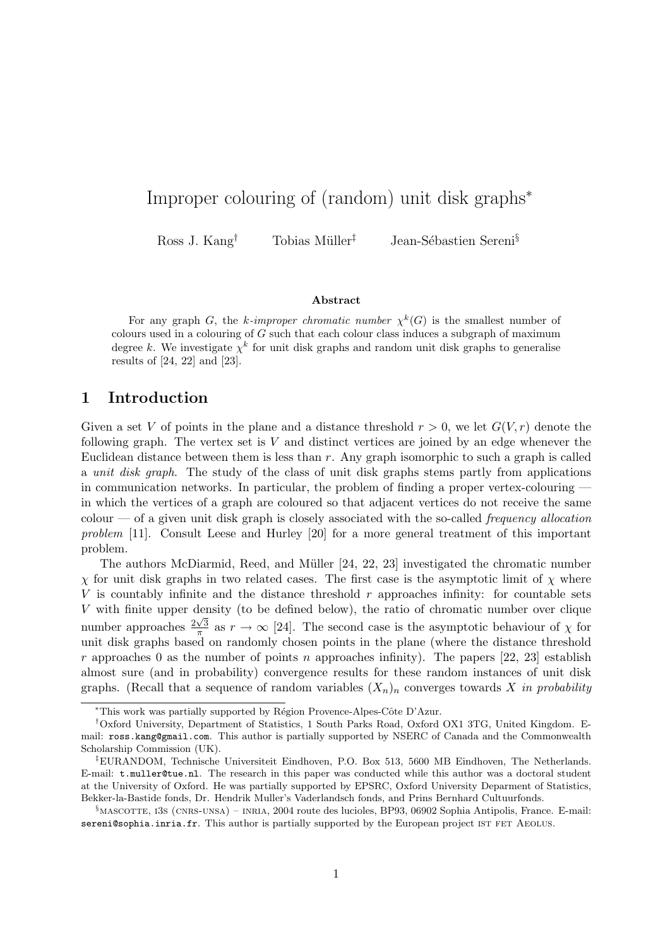# Improper colouring of (random) unit disk graphs<sup>∗</sup>

Ross J. Kang<sup>†</sup> Tobias Müller<sup>‡</sup> Jean-Sébastien Sereni<sup>§</sup>

#### Abstract

For any graph G, the k-improper chromatic number  $\chi^k(G)$  is the smallest number of colours used in a colouring of  $G$  such that each colour class induces a subgraph of maximum degree k. We investigate  $\chi^k$  for unit disk graphs and random unit disk graphs to generalise results of [24, 22] and [23].

### 1 Introduction

Given a set V of points in the plane and a distance threshold  $r > 0$ , we let  $G(V, r)$  denote the following graph. The vertex set is  $V$  and distinct vertices are joined by an edge whenever the Euclidean distance between them is less than  $r$ . Any graph isomorphic to such a graph is called a unit disk graph. The study of the class of unit disk graphs stems partly from applications in communication networks. In particular, the problem of finding a proper vertex-colouring in which the vertices of a graph are coloured so that adjacent vertices do not receive the same  $\text{colour}$  — of a given unit disk graph is closely associated with the so-called *frequency allocation* problem [11]. Consult Leese and Hurley [20] for a more general treatment of this important problem.

The authors McDiarmid, Reed, and Müller  $[24, 22, 23]$  investigated the chromatic number  $\chi$  for unit disk graphs in two related cases. The first case is the asymptotic limit of  $\chi$  where V is countably infinite and the distance threshold  $r$  approaches infinity: for countable sets V with finite upper density (to be defined below), the ratio of chromatic number over clique number approaches  $\frac{2\sqrt{3}}{\pi}$  $\frac{\sqrt{3}}{\pi}$  as  $r \to \infty$  [24]. The second case is the asymptotic behaviour of  $\chi$  for unit disk graphs based on randomly chosen points in the plane (where the distance threshold r approaches 0 as the number of points n approaches infinity). The papers  $[22, 23]$  establish almost sure (and in probability) convergence results for these random instances of unit disk graphs. (Recall that a sequence of random variables  $(X_n)_n$  converges towards X in probability

<sup>\*</sup>This work was partially supported by Région Provence-Alpes-Côte D'Azur.

<sup>†</sup>Oxford University, Department of Statistics, 1 South Parks Road, Oxford OX1 3TG, United Kingdom. Email: ross.kang@gmail.com. This author is partially supported by NSERC of Canada and the Commonwealth Scholarship Commission (UK).

<sup>‡</sup>EURANDOM, Technische Universiteit Eindhoven, P.O. Box 513, 5600 MB Eindhoven, The Netherlands. E-mail: t.muller@tue.nl. The research in this paper was conducted while this author was a doctoral student at the University of Oxford. He was partially supported by EPSRC, Oxford University Deparment of Statistics, Bekker-la-Bastide fonds, Dr. Hendrik Muller's Vaderlandsch fonds, and Prins Bernhard Cultuurfonds.

 $\S$ MASCOTTE, I3S (CNRS-UNSA) – INRIA, 2004 route des lucioles, BP93, 06902 Sophia Antipolis, France. E-mail: sereni@sophia.inria.fr. This author is partially supported by the European project IST FET AEOLUS.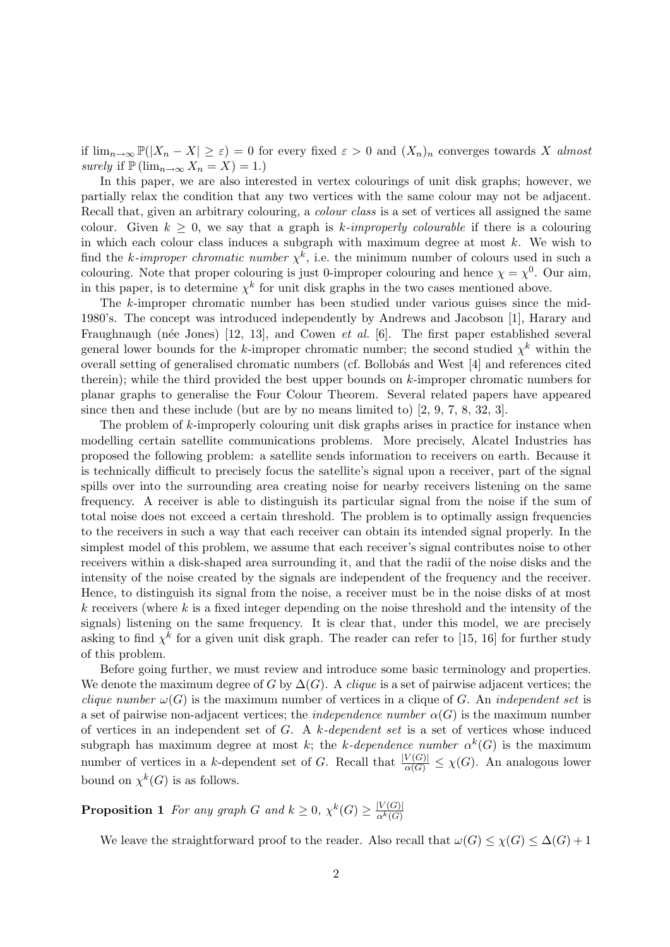if  $\lim_{n\to\infty} \mathbb{P}(|X_n - X| \geq \varepsilon) = 0$  for every fixed  $\varepsilon > 0$  and  $(X_n)_n$  converges towards X almost surely if  $\mathbb{P}(\lim_{n\to\infty}X_n=X)=1.$ 

In this paper, we are also interested in vertex colourings of unit disk graphs; however, we partially relax the condition that any two vertices with the same colour may not be adjacent. Recall that, given an arbitrary colouring, a *colour class* is a set of vertices all assigned the same colour. Given  $k \geq 0$ , we say that a graph is k-improperly colourable if there is a colouring in which each colour class induces a subgraph with maximum degree at most  $k$ . We wish to find the k-improper chromatic number  $\chi^k$ , i.e. the minimum number of colours used in such a colouring. Note that proper colouring is just 0-improper colouring and hence  $\chi = \chi^0$ . Our aim, in this paper, is to determine  $\chi^k$  for unit disk graphs in the two cases mentioned above.

The k-improper chromatic number has been studied under various guises since the mid-1980's. The concept was introduced independently by Andrews and Jacobson [1], Harary and Fraughnaugh (née Jones) [12, 13], and Cowen et al. [6]. The first paper established several general lower bounds for the k-improper chromatic number; the second studied  $\chi^k$  within the overall setting of generalised chromatic numbers (cf. Bollobás and West [4] and references cited therein); while the third provided the best upper bounds on  $k$ -improper chromatic numbers for planar graphs to generalise the Four Colour Theorem. Several related papers have appeared since then and these include (but are by no means limited to) [2, 9, 7, 8, 32, 3].

The problem of k-improperly colouring unit disk graphs arises in practice for instance when modelling certain satellite communications problems. More precisely, Alcatel Industries has proposed the following problem: a satellite sends information to receivers on earth. Because it is technically difficult to precisely focus the satellite's signal upon a receiver, part of the signal spills over into the surrounding area creating noise for nearby receivers listening on the same frequency. A receiver is able to distinguish its particular signal from the noise if the sum of total noise does not exceed a certain threshold. The problem is to optimally assign frequencies to the receivers in such a way that each receiver can obtain its intended signal properly. In the simplest model of this problem, we assume that each receiver's signal contributes noise to other receivers within a disk-shaped area surrounding it, and that the radii of the noise disks and the intensity of the noise created by the signals are independent of the frequency and the receiver. Hence, to distinguish its signal from the noise, a receiver must be in the noise disks of at most  $k$  receivers (where k is a fixed integer depending on the noise threshold and the intensity of the signals) listening on the same frequency. It is clear that, under this model, we are precisely asking to find  $\chi^k$  for a given unit disk graph. The reader can refer to [15, 16] for further study of this problem.

Before going further, we must review and introduce some basic terminology and properties. We denote the maximum degree of G by  $\Delta(G)$ . A *clique* is a set of pairwise adjacent vertices; the *clique number*  $\omega(G)$  is the maximum number of vertices in a clique of G. An *independent set* is a set of pairwise non-adjacent vertices; the *independence number*  $\alpha(G)$  is the maximum number of vertices in an independent set of  $G$ . A k-dependent set is a set of vertices whose induced subgraph has maximum degree at most k; the k-dependence number  $\alpha^{k}(G)$  is the maximum number of vertices in a k-dependent set of G. Recall that  $\frac{|V(G)|}{\alpha(G)} \leq \chi(G)$ . An analogous lower bound on  $\chi^k(G)$  is as follows.

**Proposition 1** For any graph G and  $k \geq 0$ ,  $\chi^k(G) \geq \frac{|V(G)|}{\gamma_k(K(G))}$  $\alpha^k(G)$ 

We leave the straightforward proof to the reader. Also recall that  $\omega(G) \leq \chi(G) \leq \Delta(G) + 1$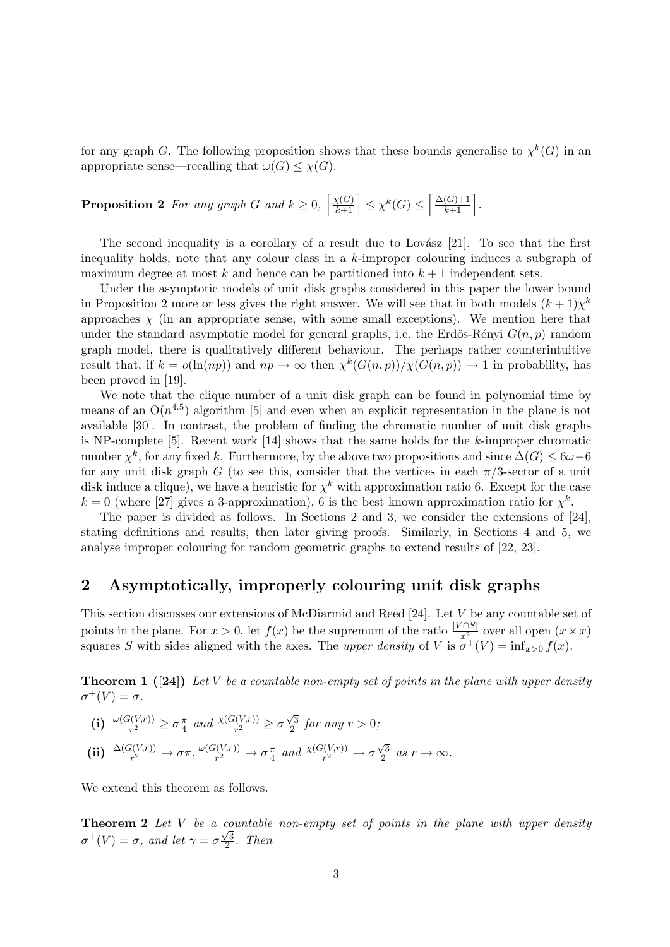for any graph G. The following proposition shows that these bounds generalise to  $\chi^k(G)$  in an appropriate sense—recalling that  $\omega(G) \leq \chi(G)$ .

**Proposition 2** For any graph G and 
$$
k \ge 0
$$
,  $\left\lceil \frac{\chi(G)}{k+1} \right\rceil \le \chi^k(G) \le \left\lceil \frac{\Delta(G)+1}{k+1} \right\rceil$ .

The second inequality is a corollary of a result due to Lovász  $[21]$ . To see that the first inequality holds, note that any colour class in a k-improper colouring induces a subgraph of maximum degree at most k and hence can be partitioned into  $k + 1$  independent sets.

Under the asymptotic models of unit disk graphs considered in this paper the lower bound in Proposition 2 more or less gives the right answer. We will see that in both models  $(k+1)\chi^k$ approaches  $\chi$  (in an appropriate sense, with some small exceptions). We mention here that under the standard asymptotic model for general graphs, i.e. the Erdős-Rényi  $G(n, p)$  random graph model, there is qualitatively different behaviour. The perhaps rather counterintuitive result that, if  $k = o(\ln(np))$  and  $np \to \infty$  then  $\chi^k(G(n, p))/\chi(G(n, p)) \to 1$  in probability, has been proved in [19].

We note that the clique number of a unit disk graph can be found in polynomial time by means of an  $O(n^{4.5})$  algorithm [5] and even when an explicit representation in the plane is not available [30]. In contrast, the problem of finding the chromatic number of unit disk graphs is NP-complete  $[5]$ . Recent work  $[14]$  shows that the same holds for the k-improper chromatic number  $\chi^k$ , for any fixed k. Furthermore, by the above two propositions and since  $\Delta(G) \leq 6\omega - 6$ for any unit disk graph G (to see this, consider that the vertices in each  $\pi/3$ -sector of a unit disk induce a clique), we have a heuristic for  $\chi^k$  with approximation ratio 6. Except for the case  $k = 0$  (where [27] gives a 3-approximation), 6 is the best known approximation ratio for  $\chi^k$ .

The paper is divided as follows. In Sections 2 and 3, we consider the extensions of [24], stating definitions and results, then later giving proofs. Similarly, in Sections 4 and 5, we analyse improper colouring for random geometric graphs to extend results of [22, 23].

# 2 Asymptotically, improperly colouring unit disk graphs

This section discusses our extensions of McDiarmid and Reed [24]. Let V be any countable set of points in the plane. For  $x > 0$ , let  $f(x)$  be the supremum of the ratio  $\frac{|V \cap S|}{x^2}$  over all open  $(x \times x)$ squares S with sides aligned with the axes. The upper density of V is  $\tilde{\sigma}^+(V) = \inf_{x>0} f(x)$ .

**Theorem 1** ([24]) Let V be a countable non-empty set of points in the plane with upper density  $\sigma^+(V) = \sigma$ .

- (i)  $\frac{\omega(G(V,r))}{r^2} \geq \sigma \frac{\pi}{4}$  $\frac{\pi}{4}$  and  $\frac{\chi(G(V,r))}{r^2} \ge \sigma$  $\sqrt{3}$  $\frac{\sqrt{3}}{2}$  for any  $r > 0$ ;
- (ii)  $\frac{\Delta(G(V,r))}{r^2} \to \sigma \pi, \frac{\omega(G(V,r))}{r^2}$  $\frac{r(V,r))}{r^2}\rightarrow \sigma\frac{\pi}{4}$  $\frac{\pi}{4}$  and  $\frac{\chi(G(V,r))}{r^2} \to \sigma$  $\sqrt{3}$  $\frac{\sqrt{3}}{2}$  as  $r \to \infty$ .

We extend this theorem as follows.

**Theorem 2** Let V be a countable non-empty set of points in the plane with upper density  $\sigma^+(V) = \sigma$ , and let  $\gamma = \sigma \frac{\sqrt{3}}{2}$  $\frac{\sqrt{3}}{2}$ . Then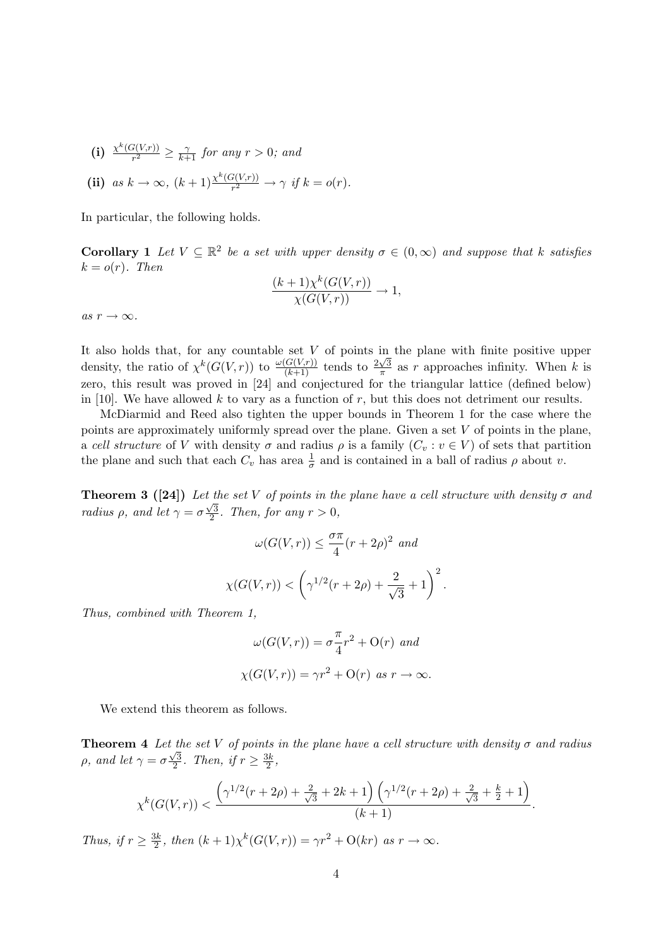- (i)  $\frac{\chi^k(G(V,r))}{r^2}$  $\frac{G(V,r))}{r^2} \geq \frac{\gamma}{k+1}$  for any  $r > 0$ ; and
- (ii) as  $k \to \infty$ ,  $(k+1) \frac{\chi^k(G(V,r))}{r^2}$  $rac{f(V,r)}{r^2} \rightarrow \gamma$  if  $k = o(r)$ .

In particular, the following holds.

**Corollary 1** Let  $V \subseteq \mathbb{R}^2$  be a set with upper density  $\sigma \in (0,\infty)$  and suppose that k satisfies  $k = o(r)$ . Then

$$
\frac{(k+1)\chi^k(G(V,r))}{\chi(G(V,r))} \to 1,
$$

as  $r \to \infty$ .

It also holds that, for any countable set  $V$  of points in the plane with finite positive upper density, the ratio of  $\chi^k(G(V,r))$  to  $\frac{\omega(G(V,r))}{(k+1)}$  tends to  $\frac{2\sqrt{3}}{\pi}$  $\frac{\sqrt{3}}{\pi}$  as r approaches infinity. When k is zero, this result was proved in [24] and conjectured for the triangular lattice (defined below) in [10]. We have allowed k to vary as a function of  $r$ , but this does not detriment our results.

McDiarmid and Reed also tighten the upper bounds in Theorem 1 for the case where the points are approximately uniformly spread over the plane. Given a set  $V$  of points in the plane, a cell structure of V with density  $\sigma$  and radius  $\rho$  is a family  $(C_v : v \in V)$  of sets that partition the plane and such that each  $C_v$  has area  $\frac{1}{\sigma}$  and is contained in a ball of radius  $\rho$  about v.

**Theorem 3 ([24])** Let the set V of points in the plane have a cell structure with density  $\sigma$  and radius  $\rho$ , and let  $\gamma = \sigma \frac{\sqrt{3}}{2}$  $\frac{\sqrt{3}}{2}$ . Then, for any  $r > 0$ ,

$$
\omega(G(V,r)) \le \frac{\sigma \pi}{4} (r+2\rho)^2 \text{ and}
$$

$$
\chi(G(V,r)) < \left(\gamma^{1/2}(r+2\rho) + \frac{2}{\sqrt{3}} + 1\right)^2
$$

.

Thus, combined with Theorem 1,

$$
\omega(G(V,r)) = \sigma \frac{\pi}{4}r^2 + O(r) \text{ and}
$$
  

$$
\chi(G(V,r)) = \gamma r^2 + O(r) \text{ as } r \to \infty.
$$

We extend this theorem as follows.

**Theorem 4** Let the set V of points in the plane have a cell structure with density  $\sigma$  and radius  $\rho$ , and let  $\gamma = \sigma \frac{\sqrt{3}}{2}$  $\frac{\sqrt{3}}{2}$ . Then, if  $r \geq \frac{3k}{2}$  $\frac{3k}{2}$ ,

$$
\chi^k(G(V,r)) < \frac{\left(\gamma^{1/2}(r+2\rho) + \frac{2}{\sqrt{3}} + 2k + 1\right)\left(\gamma^{1/2}(r+2\rho) + \frac{2}{\sqrt{3}} + \frac{k}{2} + 1\right)}{(k+1)}.
$$

Thus, if  $r \geq \frac{3k}{2}$  $\frac{3k}{2}$ , then  $(k+1)\chi^{k}(G(V,r)) = \gamma r^2 + O(kr)$  as  $r \to \infty$ .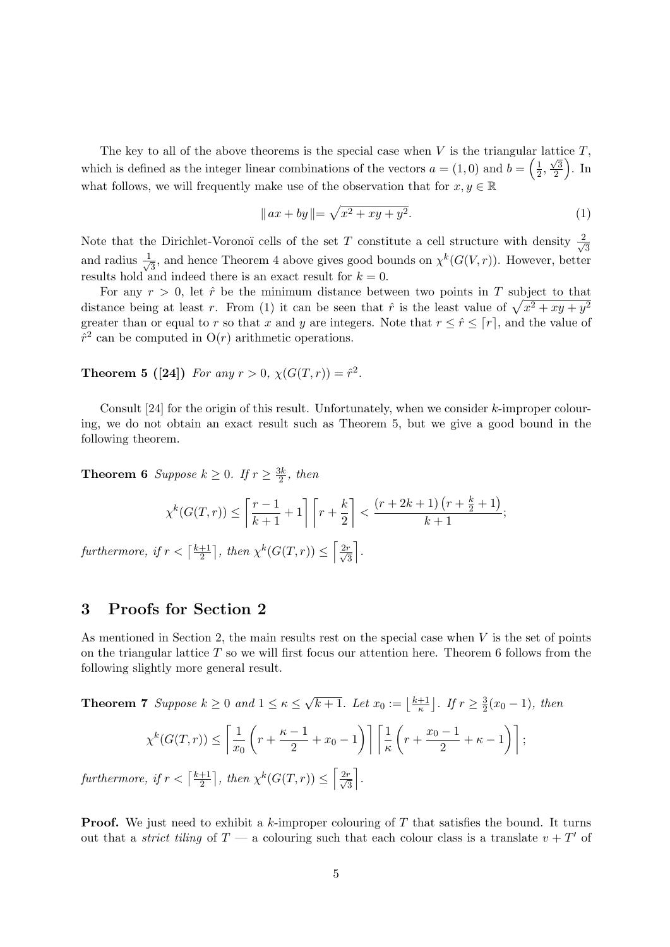The key to all of the above theorems is the special case when V is the triangular lattice  $T$ , which is defined as the integer linear combinations of the vectors  $a = (1,0)$  and  $b = \left(\frac{1}{2},\frac{1}{2}\right)$  $\frac{1}{2}, \frac{\sqrt{3}}{2}$  $\frac{\sqrt{3}}{2}$ ). In what follows, we will frequently make use of the observation that for  $x, y \in \mathbb{R}$ 

$$
|| ax + by || = \sqrt{x^2 + xy + y^2}.
$$
 (1)

Note that the Dirichlet-Voronoï cells of the set T constitute a cell structure with density  $\frac{2}{\sqrt{2}}$ 3 and radius  $\frac{1}{\sqrt{2}}$  $\frac{1}{3}$ , and hence Theorem 4 above gives good bounds on  $\chi^k(G(V,r))$ . However, better results hold and indeed there is an exact result for  $k = 0$ .

For any  $r > 0$ , let  $\hat{r}$  be the minimum distance between two points in T subject to that distance being at least r. From (1) it can be seen that  $\hat{r}$  is the least value of  $\sqrt{x^2 + xy + y^2}$ greater than or equal to r so that x and y are integers. Note that  $r \leq \hat{r} \leq \lceil r \rceil$ , and the value of  $\hat{r}^2$  can be computed in  $O(r)$  arithmetic operations.

#### **Theorem 5** ([24]) For any  $r > 0$ ,  $\chi(G(T, r)) = \hat{r}^2$ .

Consult  $[24]$  for the origin of this result. Unfortunately, when we consider k-improper colouring, we do not obtain an exact result such as Theorem 5, but we give a good bound in the following theorem.

**Theorem 6** Suppose  $k \geq 0$ . If  $r \geq \frac{3k}{2}$  $\frac{3k}{2}$ , then

$$
\chi^k(G(T,r)) \le \left\lceil \frac{r-1}{k+1} + 1 \right\rceil \left\lceil r + \frac{k}{2} \right\rceil < \frac{(r+2k+1)\left(r + \frac{k}{2} + 1\right)}{k+1};
$$

furthermore, if  $r < \lceil \frac{k+1}{2} \rceil$  $\frac{+1}{2}$ , then  $\chi^k(G(T,r)) \leq \left\lceil \frac{2r}{\sqrt{3}} \right\rceil$ 3 m .

# 3 Proofs for Section 2

As mentioned in Section 2, the main results rest on the special case when  $V$  is the set of points on the triangular lattice  $T$  so we will first focus our attention here. Theorem 6 follows from the following slightly more general result.

**Theorem 7** Suppose  $k \geq 0$  and  $1 \leq \kappa \leq$  $\sqrt{k+1}$ . Let  $x_0 := \left| \frac{k+1}{\kappa} \right|$  $\frac{+1}{\kappa}$ . If  $r \geq \frac{3}{2}$  $\frac{3}{2}(x_0-1)$ , then

$$
\chi^k(G(T,r)) \le \left\lceil \frac{1}{x_0} \left( r + \frac{\kappa - 1}{2} + x_0 - 1 \right) \right\rceil \left\lceil \frac{1}{\kappa} \left( r + \frac{x_0 - 1}{2} + \kappa - 1 \right) \right\rceil;
$$

furthermore, if  $r < \lceil \frac{k+1}{2} \rceil$  $\frac{+1}{2}$ , then  $\chi^k(G(T,r)) \leq \left\lceil \frac{2r}{\sqrt{3}} \right\rceil$ 3 m .

**Proof.** We just need to exhibit a  $k$ -improper colouring of  $T$  that satisfies the bound. It turns out that a *strict tiling* of  $T - a$  colouring such that each colour class is a translate  $v + T'$  of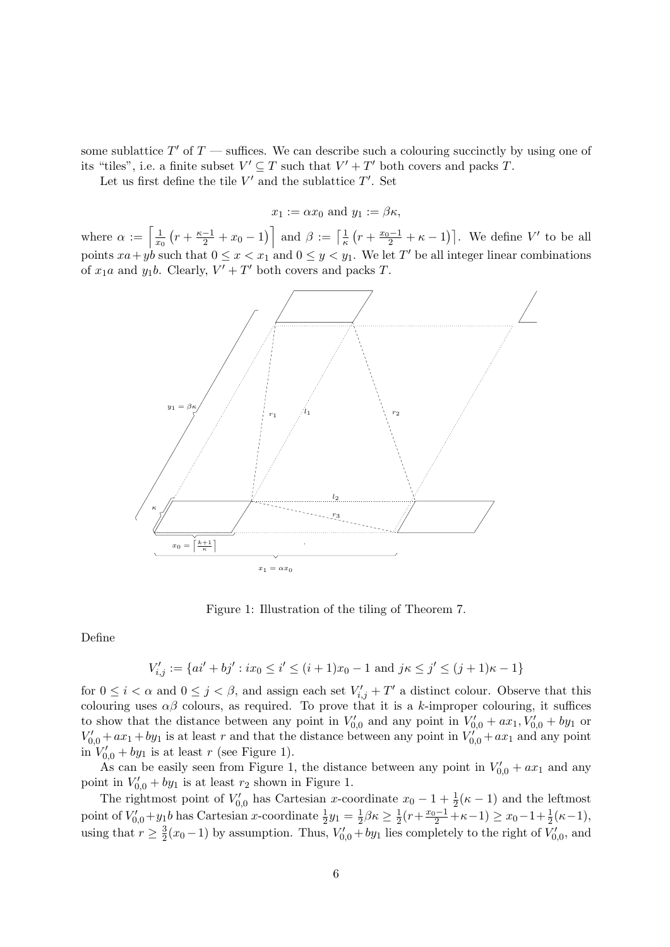some sublattice  $T'$  of  $T$  — suffices. We can describe such a colouring succinctly by using one of its "tiles", i.e. a finite subset  $V' \subseteq T$  such that  $V' + T'$  both covers and packs T.

Let us first define the tile  $V'$  and the sublattice  $T'$ . Set

$$
x_1 := \alpha x_0 \text{ and } y_1 := \beta \kappa,
$$

where  $\alpha := \left[\frac{1}{r_c}\right]$  $\frac{1}{x_0}(r + \frac{\kappa - 1}{2} + x_0 - 1)$  and  $\beta := \lceil \frac{1}{\kappa} \rceil$  $\frac{1}{\kappa}$   $(r + \frac{x_0-1}{2} + \kappa - 1)$ . We define V' to be all points  $xa + yb$  such that  $0 \le x < x_1$  and  $0 \le y < y_1$ . We let T' be all integer linear combinations of  $x_1a$  and  $y_1b$ . Clearly,  $V' + T'$  both covers and packs T.



Figure 1: Illustration of the tiling of Theorem 7.

Define

$$
V'_{i,j} := \{ ai' + bj' : ix_0 \le i' \le (i+1)x_0 - 1 \text{ and } j\kappa \le j' \le (j+1)\kappa - 1 \}
$$

for  $0 \leq i < \alpha$  and  $0 \leq j < \beta$ , and assign each set  $V'_{i,j} + T'$  a distinct colour. Observe that this colouring uses  $\alpha\beta$  colours, as required. To prove that it is a k-improper colouring, it suffices to show that the distance between any point in  $V'_{0,0}$  and any point in  $V'_{0,0} + ax_1, V'_{0,0} + by_1$  or  $V'_{0,0} + ax_1 + by_1$  is at least r and that the distance between any point in  $V'_{0,0} + ax_1$  and any point in  $V'_{0,0} + by_1$  is at least r (see Figure 1).

As can be easily seen from Figure 1, the distance between any point in  $V'_{0,0} + ax_1$  and any point in  $V'_{0,0} + by_1$  is at least  $r_2$  shown in Figure 1.

The rightmost point of  $V'_{0,0}$  has Cartesian x-coordinate  $x_0 - 1 + \frac{1}{2}(\kappa - 1)$  and the leftmost point of  $V'_{0,0} + y_1b$  has Cartesian x-coordinate  $\frac{1}{2}y_1 = \frac{1}{2}$  $\frac{1}{2}\beta\kappa \geq \frac{1}{2}$  $\frac{1}{2}(r+\frac{x_0-1}{2}+\kappa-1) \geq x_0-1+\frac{1}{2}(\kappa-1),$ using that  $r \geq \frac{3}{2}$  $\frac{3}{2}(x_0-1)$  by assumption. Thus,  $V'_{0,0} + by_1$  lies completely to the right of  $V'_{0,0}$ , and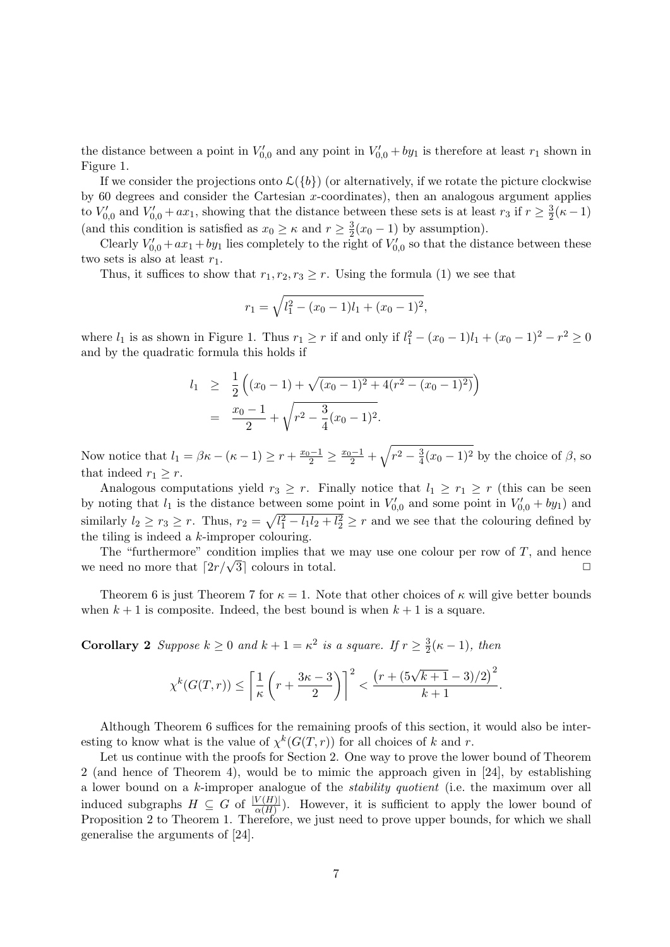the distance between a point in  $V'_{0,0}$  and any point in  $V'_{0,0} + by_1$  is therefore at least  $r_1$  shown in Figure 1.

If we consider the projections onto  $\mathcal{L}(\{b\})$  (or alternatively, if we rotate the picture clockwise by 60 degrees and consider the Cartesian  $x$ -coordinates), then an analogous argument applies to  $V'_{0,0}$  and  $V'_{0,0} + ax_1$ , showing that the distance between these sets is at least  $r_3$  if  $r \geq \frac{3}{2}$  $\frac{3}{2}(\kappa - 1)$ (and this condition is satisfied as  $x_0 \geq \kappa$  and  $r \geq \frac{3}{2}$  $\frac{3}{2}(x_0-1)$  by assumption).

Clearly  $V'_{0,0} + ax_1 + by_1$  lies completely to the right of  $V'_{0,0}$  so that the distance between these two sets is also at least  $r_1$ .

Thus, it suffices to show that  $r_1, r_2, r_3 \geq r$ . Using the formula (1) we see that

$$
r_1 = \sqrt{l_1^2 - (x_0 - 1)l_1 + (x_0 - 1)^2},
$$

where  $l_1$  is as shown in Figure 1. Thus  $r_1 \ge r$  if and only if  $l_1^2 - (x_0 - 1)l_1 + (x_0 - 1)^2 - r^2 \ge 0$ and by the quadratic formula this holds if

$$
l_1 \geq \frac{1}{2} \left( (x_0 - 1) + \sqrt{(x_0 - 1)^2 + 4(r^2 - (x_0 - 1)^2)} \right)
$$
  
= 
$$
\frac{x_0 - 1}{2} + \sqrt{r^2 - \frac{3}{4}(x_0 - 1)^2}.
$$

Now notice that  $l_1 = \beta \kappa - (\kappa - 1) \ge r + \frac{x_0 - 1}{2} \ge \frac{x_0 - 1}{2} + \sqrt{r^2 - \frac{3}{4}}$  $\frac{3}{4}(x_0-1)^2$  by the choice of  $\beta$ , so that indeed  $r_1 \geq r$ .

Analogous computations yield  $r_3 \geq r$ . Finally notice that  $l_1 \geq r_1 \geq r$  (this can be seen by noting that  $l_1$  is the distance between some point in  $V'_{0,0}$  and some point in  $V'_{0,0} + by_1$  and similarly  $l_2 \ge r_3 \ge r$ . Thus,  $r_2 = \sqrt{l_1^2 - l_1 l_2 + l_2^2} \ge r$  and we see that the colouring defined by the tiling is indeed a k-improper colouring.

The "furthermore" condition implies that we may use one colour per row of  $T$ , and hence The furthermore condition implies that we may use one colour per row of T, and nence<br>we need no more that  $[2r/\sqrt{3}]$  colours in total.

Theorem 6 is just Theorem 7 for  $\kappa = 1$ . Note that other choices of  $\kappa$  will give better bounds when  $k + 1$  is composite. Indeed, the best bound is when  $k + 1$  is a square.

**Corollary 2** Suppose  $k \geq 0$  and  $k + 1 = \kappa^2$  is a square. If  $r \geq \frac{3}{2}$  $\frac{3}{2}(\kappa-1)$ , then

$$
\chi^k(G(T,r)) \le \left\lceil \frac{1}{\kappa} \left( r + \frac{3\kappa - 3}{2} \right) \right\rceil^2 < \frac{\left( r + (5\sqrt{k+1} - 3)/2 \right)^2}{k+1}.
$$

Although Theorem 6 suffices for the remaining proofs of this section, it would also be interesting to know what is the value of  $\chi^k(G(T,r))$  for all choices of k and r.

Let us continue with the proofs for Section 2. One way to prove the lower bound of Theorem 2 (and hence of Theorem 4), would be to mimic the approach given in [24], by establishing a lower bound on a k-improper analogue of the stability quotient (i.e. the maximum over all induced subgraphs  $H \subseteq G$  of  $\frac{|V(H)|}{\alpha(H)}$ . However, it is sufficient to apply the lower bound of Proposition 2 to Theorem 1. Therefore, we just need to prove upper bounds, for which we shall generalise the arguments of [24].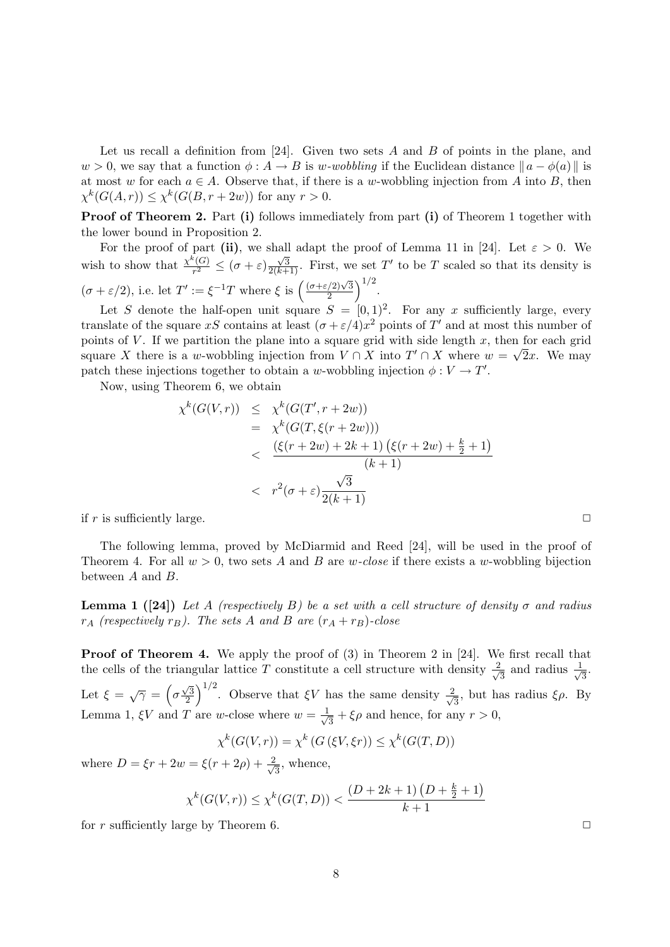Let us recall a definition from [24]. Given two sets A and B of points in the plane, and  $w > 0$ , we say that a function  $\phi : A \to B$  is w-wobbling if the Euclidean distance  $||a - \phi(a)||$  is at most w for each  $a \in A$ . Observe that, if there is a w-wobbling injection from A into B, then  $\chi^k(G(A,r)) \leq \chi^k(G(B, r+2w))$  for any  $r > 0$ .

Proof of Theorem 2. Part (i) follows immediately from part (i) of Theorem 1 together with the lower bound in Proposition 2.

For the proof of part (ii), we shall adapt the proof of Lemma 11 in [24]. Let  $\varepsilon > 0$ . We wish to show that  $\frac{\chi^k(G)}{r^2}$  $\frac{f(G)}{r^2} \leq (\sigma + \varepsilon)$  $\frac{\sqrt{3}}{2(k+1)}$ . First, we set T' to be T scaled so that its density is  $(\sigma + \varepsilon/2)$ , i.e. let  $T' := \xi^{-1}T$  where  $\xi$  is  $\left(\frac{(\sigma + \varepsilon/2)\sqrt{3}}{2}\right)$  $\frac{1}{2}^{(2)\sqrt{3}}\Big)^{1/2}.$ 

Let S denote the half-open unit square  $S = [0, 1)^2$ . For any x sufficiently large, every translate of the square xS contains at least  $(\sigma + \varepsilon/4)x^2$  points of T' and at most this number of points of V. If we partition the plane into a square grid with side length x, then for each grid square X there is a w-wobbling injection from  $V \cap X$  into  $T' \cap X$  where  $w = \sqrt{2}x$ . We may patch these injections together to obtain a w-wobbling injection  $\phi: V \to T'$ .

Now, using Theorem 6, we obtain

$$
\chi^k(G(V,r)) \leq \chi^k(G(T', r + 2w))
$$
  
=  $\chi^k(G(T, \xi(r + 2w)))$   
 $< \frac{(\xi(r + 2w) + 2k + 1) (\xi(r + 2w) + \frac{k}{2} + 1)}{(k + 1)}$   
 $< r^2(\sigma + \varepsilon) \frac{\sqrt{3}}{2(k + 1)}$ 

if r is sufficiently large.  $\Box$ 

The following lemma, proved by McDiarmid and Reed [24], will be used in the proof of Theorem 4. For all  $w > 0$ , two sets A and B are w-close if there exists a w-wobbling bijection between A and B.

**Lemma 1** ([24]) Let A (respectively B) be a set with a cell structure of density  $\sigma$  and radius  $r_A$  (respectively  $r_B$ ). The sets A and B are  $(r_A + r_B)$ -close

Proof of Theorem 4. We apply the proof of (3) in Theorem 2 in [24]. We first recall that the cells of the triangular lattice T constitute a cell structure with density  $\frac{2}{\sqrt{2}}$  $\frac{2}{3}$  and radius  $\frac{1}{\sqrt{2}}$ 3 . Let  $\xi = \sqrt{\gamma} = \left(\sigma\right)$  $\sqrt{3}$  $\left(\frac{\sqrt{3}}{2}\right)^{1/2}$ . Observe that  $\xi V$  has the same density  $\frac{2}{\sqrt{3}}$  $\frac{2}{3}$ , but has radius  $\xi \rho$ . By Lemma 1,  $\xi V$  and T are w-close where  $w = \frac{1}{\sqrt{2}}$  $\frac{1}{3} + \xi \rho$  and hence, for any  $r > 0$ ,

$$
\chi^k(G(V,r)) = \chi^k(G(\xi V, \xi r)) \leq \chi^k(G(T, D))
$$

where  $D = \xi r + 2w = \xi (r + 2\rho) + \frac{2}{\xi}$  $\frac{1}{3}$ , whence,

$$
\chi^k(G(V,r)) \le \chi^k(G(T,D)) < \frac{(D+2k+1)(D+\frac{k}{2}+1)}{k+1}
$$

for r sufficiently large by Theorem 6.  $\Box$ 

8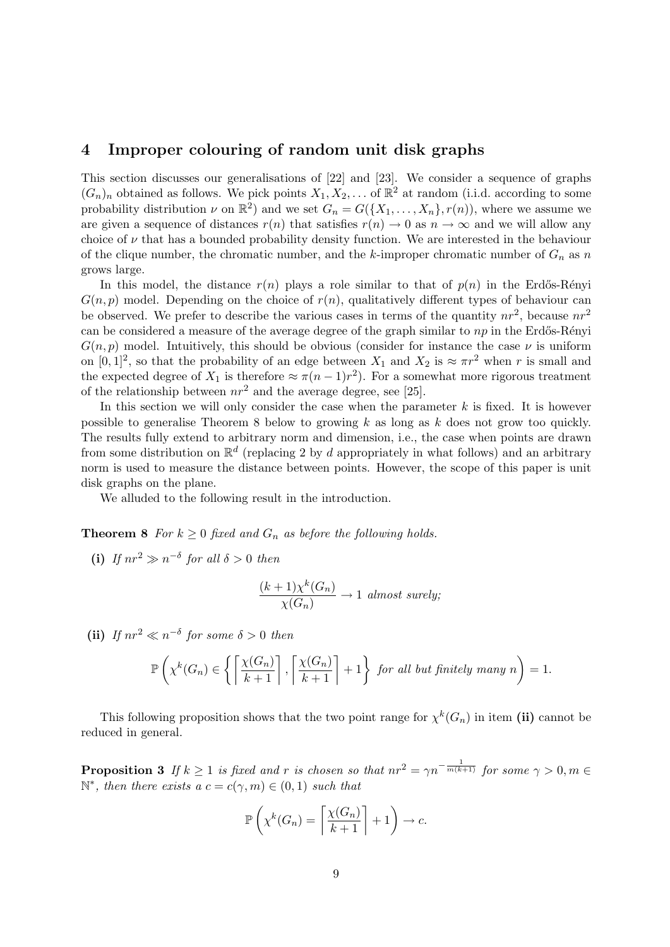### 4 Improper colouring of random unit disk graphs

This section discusses our generalisations of [22] and [23]. We consider a sequence of graphs  $(G_n)_n$  obtained as follows. We pick points  $X_1, X_2, \ldots$  of  $\mathbb{R}^2$  at random (i.i.d. according to some probability distribution  $\nu$  on  $\mathbb{R}^2$ ) and we set  $G_n = G({X_1, \ldots, X_n}, r(n))$ , where we assume we are given a sequence of distances  $r(n)$  that satisfies  $r(n) \to 0$  as  $n \to \infty$  and we will allow any choice of  $\nu$  that has a bounded probability density function. We are interested in the behaviour of the clique number, the chromatic number, and the k-improper chromatic number of  $G_n$  as n grows large.

In this model, the distance  $r(n)$  plays a role similar to that of  $p(n)$  in the Erdős-Rényi  $G(n, p)$  model. Depending on the choice of  $r(n)$ , qualitatively different types of behaviour can be observed. We prefer to describe the various cases in terms of the quantity  $nr^2$ , because  $nr^2$ can be considered a measure of the average degree of the graph similar to  $np$  in the Erdős-Rényi  $G(n, p)$  model. Intuitively, this should be obvious (consider for instance the case  $\nu$  is uniform on  $[0,1]^2$ , so that the probability of an edge between  $X_1$  and  $X_2$  is  $\approx \pi r^2$  when r is small and the expected degree of  $X_1$  is therefore  $\approx \pi (n-1)r^2$ ). For a somewhat more rigorous treatment of the relationship between  $nr^2$  and the average degree, see [25].

In this section we will only consider the case when the parameter  $k$  is fixed. It is however possible to generalise Theorem 8 below to growing  $k$  as long as  $k$  does not grow too quickly. The results fully extend to arbitrary norm and dimension, i.e., the case when points are drawn from some distribution on  $\mathbb{R}^d$  (replacing 2 by d appropriately in what follows) and an arbitrary norm is used to measure the distance between points. However, the scope of this paper is unit disk graphs on the plane.

We alluded to the following result in the introduction.

**Theorem 8** For  $k \geq 0$  fixed and  $G_n$  as before the following holds.

(i) If  $nr^2 \gg n^{-\delta}$  for all  $\delta > 0$  then

$$
\frac{(k+1)\chi^k(G_n)}{\chi(G_n)} \to 1 \text{ almost surely};
$$

(ii) If  $nr^2 \ll n^{-\delta}$  for some  $\delta > 0$  then

$$
\mathbb{P}\left(\chi^k(G_n) \in \left\{ \left\lceil \frac{\chi(G_n)}{k+1} \right\rceil, \left\lceil \frac{\chi(G_n)}{k+1} \right\rceil + 1 \right\} \text{ for all but finitely many } n \right) = 1.
$$

This following proposition shows that the two point range for  $\chi^k(G_n)$  in item (ii) cannot be reduced in general.

**Proposition 3** If  $k \geq 1$  is fixed and r is chosen so that  $nr^2 = \gamma n^{-\frac{1}{m(k+1)}}$  for some  $\gamma > 0, m \in$  $\mathbb{N}^*$ , then there exists a  $c = c(\gamma, m) \in (0, 1)$  such that

$$
\mathbb{P}\left(\chi^k(G_n) = \left\lceil \frac{\chi(G_n)}{k+1} \right\rceil + 1\right) \to c.
$$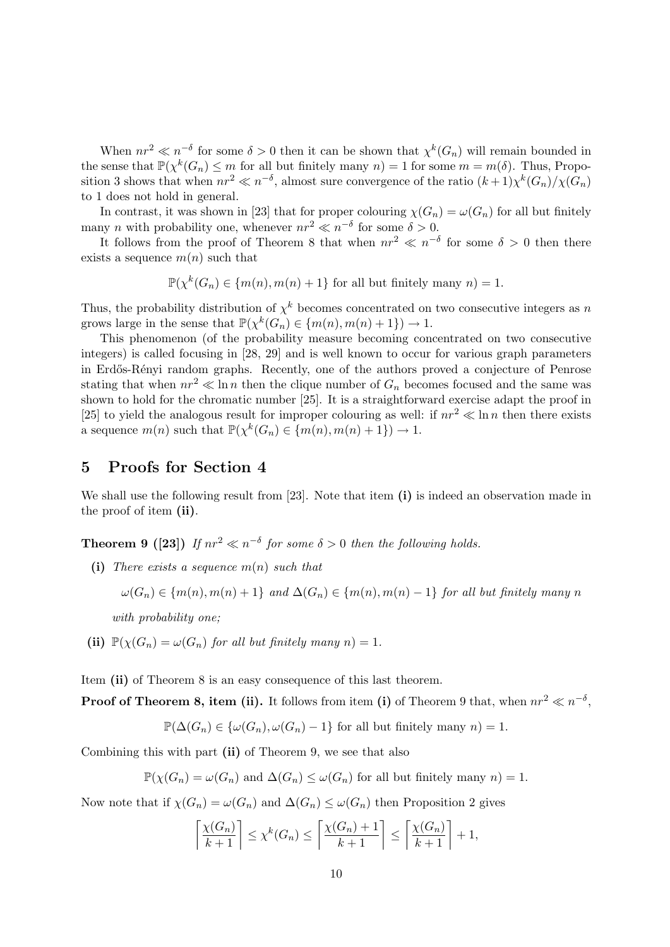When  $nr^2 \ll n^{-\delta}$  for some  $\delta > 0$  then it can be shown that  $\chi^k(G_n)$  will remain bounded in the sense that  $\mathbb{P}(\chi^k(G_n) \leq m$  for all but finitely many  $n) = 1$  for some  $m = m(\delta)$ . Thus, Proposition 3 shows that when  $nr^2 \ll n^{-\delta}$ , almost sure convergence of the ratio  $(k+1)\chi^k(G_n)/\chi(G_n)$ to 1 does not hold in general.

In contrast, it was shown in [23] that for proper colouring  $\chi(G_n) = \omega(G_n)$  for all but finitely many *n* with probability one, whenever  $nr^2 \ll n^{-\delta}$  for some  $\delta > 0$ .

It follows from the proof of Theorem 8 that when  $nr^2 \ll n^{-\delta}$  for some  $\delta > 0$  then there exists a sequence  $m(n)$  such that

$$
\mathbb{P}(\chi^k(G_n) \in \{m(n), m(n) + 1\} \text{ for all but finitely many } n) = 1.
$$

Thus, the probability distribution of  $\chi^k$  becomes concentrated on two consecutive integers as n grows large in the sense that  $\mathbb{P}(\chi^k(G_n) \in \{m(n), m(n) + 1\}) \to 1$ .

This phenomenon (of the probability measure becoming concentrated on two consecutive integers) is called focusing in [28, 29] and is well known to occur for various graph parameters in Erdős-Rényi random graphs. Recently, one of the authors proved a conjecture of Penrose stating that when  $nr^2 \ll \ln n$  then the clique number of  $G_n$  becomes focused and the same was shown to hold for the chromatic number [25]. It is a straightforward exercise adapt the proof in [25] to yield the analogous result for improper colouring as well: if  $nr^2 \ll \ln n$  then there exists a sequence  $m(n)$  such that  $\mathbb{P}(\chi^k(G_n) \in \{m(n), m(n) + 1\}) \to 1$ .

#### 5 Proofs for Section 4

We shall use the following result from  $[23]$ . Note that item  $(i)$  is indeed an observation made in the proof of item (ii).

**Theorem 9** ([23]) If  $nr^2 \ll n^{-\delta}$  for some  $\delta > 0$  then the following holds.

(i) There exists a sequence  $m(n)$  such that

 $\omega(G_n) \in \{m(n), m(n)+1\}$  and  $\Delta(G_n) \in \{m(n), m(n)-1\}$  for all but finitely many n

with probability one;

(ii)  $\mathbb{P}(\chi(G_n) = \omega(G_n)$  for all but finitely many  $n) = 1$ .

Item (ii) of Theorem 8 is an easy consequence of this last theorem.

**Proof of Theorem 8, item (ii).** It follows from item (i) of Theorem 9 that, when  $nr^2 \ll n^{-\delta}$ ,

 $\mathbb{P}(\Delta(G_n) \in {\omega(G_n), \omega(G_n) - 1}$  for all but finitely many  $n) = 1$ .

Combining this with part (ii) of Theorem 9, we see that also

$$
\mathbb{P}(\chi(G_n) = \omega(G_n) \text{ and } \Delta(G_n) \le \omega(G_n) \text{ for all but finitely many } n) = 1.
$$

Now note that if  $\chi(G_n) = \omega(G_n)$  and  $\Delta(G_n) \leq \omega(G_n)$  then Proposition 2 gives

$$
\left\lceil \frac{\chi(G_n)}{k+1} \right\rceil \leq \chi^k(G_n) \leq \left\lceil \frac{\chi(G_n)+1}{k+1} \right\rceil \leq \left\lceil \frac{\chi(G_n)}{k+1} \right\rceil + 1,
$$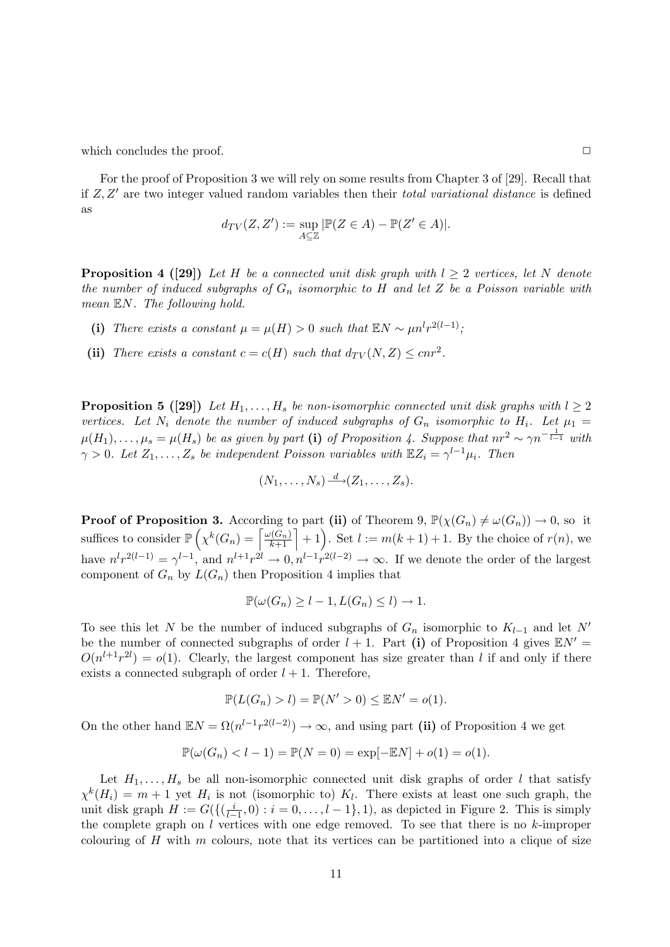which concludes the proof.  $\Box$ 

For the proof of Proposition 3 we will rely on some results from Chapter 3 of [29]. Recall that if  $Z, Z'$  are two integer valued random variables then their total variational distance is defined as

$$
d_{TV}(Z, Z') := \sup_{A \subseteq \mathbb{Z}} |\mathbb{P}(Z \in A) - \mathbb{P}(Z' \in A)|.
$$

**Proposition 4 ([29])** Let H be a connected unit disk graph with  $l \geq 2$  vertices, let N denote the number of induced subgraphs of  $G_n$  isomorphic to H and let Z be a Poisson variable with mean EN. The following hold.

- (i) There exists a constant  $\mu = \mu(H) > 0$  such that  $\mathbb{E} N \sim \mu n^{l} r^{2(l-1)}$ ;
- (ii) There exists a constant  $c = c(H)$  such that  $d_{TV}(N, Z) \leq cnr^2$ .

**Proposition 5 ([29])** Let  $H_1, \ldots, H_s$  be non-isomorphic connected unit disk graphs with  $l \geq 2$ vertices. Let  $N_i$  denote the number of induced subgraphs of  $G_n$  isomorphic to  $H_i$ . Let  $\mu_1 =$  $\mu(H_1), \ldots, \mu_s = \mu(H_s)$  be as given by part (i) of Proposition 4. Suppose that  $nr^2 \sim \gamma n^{-\frac{1}{l-1}}$  with  $\gamma > 0$ . Let  $Z_1, \ldots, Z_s$  be independent Poisson variables with  $\mathbb{E} Z_i = \gamma^{l-1} \mu_i$ . Then

$$
(N_1,\ldots,N_s)\stackrel{d}{\longrightarrow}(Z_1,\ldots,Z_s).
$$

**Proof of Proposition 3.** According to part (ii) of Theorem  $9, \mathbb{P}(\chi(G_n) \neq \omega(G_n)) \to 0$ , so it suffices to consider  $\mathbb{P}\left(\chi^k(G_n) = \left\lceil \frac{\omega(G_n)}{k+1} \right\rceil + 1\right)$ . Set  $l := m(k+1) + 1$ . By the choice of  $r(n)$ , we have  $n^{l}r^{2(l-1)} = \gamma^{l-1}$ , and  $n^{l+1}r^{2l} \to 0$ ,  $n^{l-1}r^{2(l-2)} \to \infty$ . If we denote the order of the largest component of  $G_n$  by  $L(G_n)$  then Proposition 4 implies that

$$
\mathbb{P}(\omega(G_n) \ge l-1, L(G_n) \le l) \to 1.
$$

To see this let N be the number of induced subgraphs of  $G_n$  isomorphic to  $K_{l-1}$  and let N' be the number of connected subgraphs of order  $l + 1$ . Part (i) of Proposition 4 gives  $\mathbb{E}N' =$  $O(n^{l+1}r^{2l}) = o(1)$ . Clearly, the largest component has size greater than l if and only if there exists a connected subgraph of order  $l + 1$ . Therefore,

$$
\mathbb{P}(L(G_n) > l) = \mathbb{P}(N' > 0) \leq \mathbb{E}N' = o(1).
$$

On the other hand  $\mathbb{E}N = \Omega(n^{l-1}r^{2(l-2)}) \to \infty$ , and using part (ii) of Proposition 4 we get

$$
\mathbb{P}(\omega(G_n) < l-1) = \mathbb{P}(N=0) = \exp[-\mathbb{E}N] + o(1) = o(1).
$$

Let  $H_1, \ldots, H_s$  be all non-isomorphic connected unit disk graphs of order l that satisfy  $\chi^k(H_i) = m + 1$  yet  $H_i$  is not (isomorphic to)  $K_l$ . There exists at least one such graph, the unit disk graph  $H := G(\{(\frac{i}{l-1},0) : i = 0,\ldots,l-1\},1)$ , as depicted in Figure 2. This is simply the complete graph on  $l$  vertices with one edge removed. To see that there is no  $k$ -improper colouring of  $H$  with  $m$  colours, note that its vertices can be partitioned into a clique of size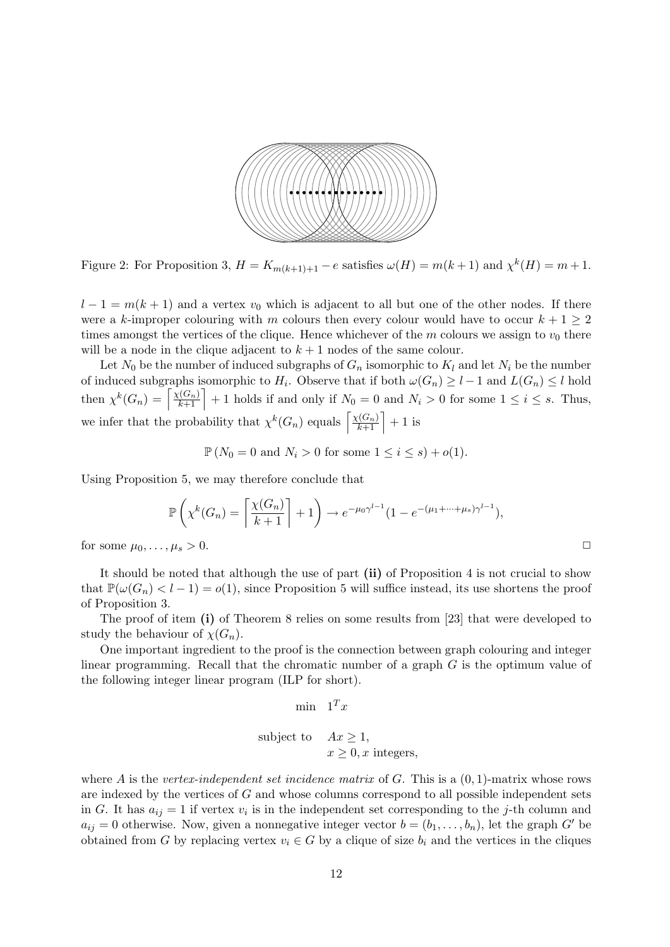

Figure 2: For Proposition 3,  $H = K_{m(k+1)+1} - e$  satisfies  $\omega(H) = m(k+1)$  and  $\chi^k(H) = m+1$ .

 $l-1 = m(k+1)$  and a vertex  $v_0$  which is adjacent to all but one of the other nodes. If there were a k-improper colouring with m colours then every colour would have to occur  $k + 1 \geq 2$ times amongst the vertices of the clique. Hence whichever of the  $m$  colours we assign to  $v_0$  there will be a node in the clique adjacent to  $k + 1$  nodes of the same colour.

Let  $N_0$  be the number of induced subgraphs of  $G_n$  isomorphic to  $K_l$  and let  $N_i$  be the number of induced subgraphs isomorphic to  $H_i$ . Observe that if both  $\omega(G_n) \geq l-1$  and  $L(G_n) \leq l$  hold then  $\chi^k(G_n) = \left[\frac{\chi(G_n)}{k+1}\right] + 1$  holds if and only if  $N_0 = 0$  and  $N_i > 0$  for some  $1 \leq i \leq s$ . Thus, we infer that the probability that  $\chi^k(G_n)$  equals  $\left\lceil \frac{\chi(G_n)}{k+1} \right\rceil + 1$  is

$$
\mathbb{P}(N_0 = 0 \text{ and } N_i > 0 \text{ for some } 1 \le i \le s) + o(1).
$$

Using Proposition 5, we may therefore conclude that

$$
\mathbb{P}\left(\chi^k(G_n) = \left\lceil \frac{\chi(G_n)}{k+1} \right\rceil + 1\right) \to e^{-\mu_0 \gamma^{l-1}} (1 - e^{-(\mu_1 + \dots + \mu_s)\gamma^{l-1}}),
$$

for some  $\mu_0, \ldots, \mu_s > 0$ .

It should be noted that although the use of part (ii) of Proposition 4 is not crucial to show that  $\mathbb{P}(\omega(G_n) < l-1) = o(1)$ , since Proposition 5 will suffice instead, its use shortens the proof of Proposition 3.

The proof of item (i) of Theorem 8 relies on some results from [23] that were developed to study the behaviour of  $\chi(G_n)$ .

One important ingredient to the proof is the connection between graph colouring and integer linear programming. Recall that the chromatic number of a graph G is the optimum value of the following integer linear program (ILP for short).

min 
$$
1^T x
$$
  
subject to  $Ax \ge 1$ ,  
 $x \ge 0$ , x integers,

where A is the vertex-independent set incidence matrix of G. This is a  $(0, 1)$ -matrix whose rows are indexed by the vertices of G and whose columns correspond to all possible independent sets in G. It has  $a_{ij} = 1$  if vertex  $v_i$  is in the independent set corresponding to the j-th column and  $a_{ij} = 0$  otherwise. Now, given a nonnegative integer vector  $b = (b_1, \ldots, b_n)$ , let the graph G' be obtained from G by replacing vertex  $v_i \in G$  by a clique of size  $b_i$  and the vertices in the cliques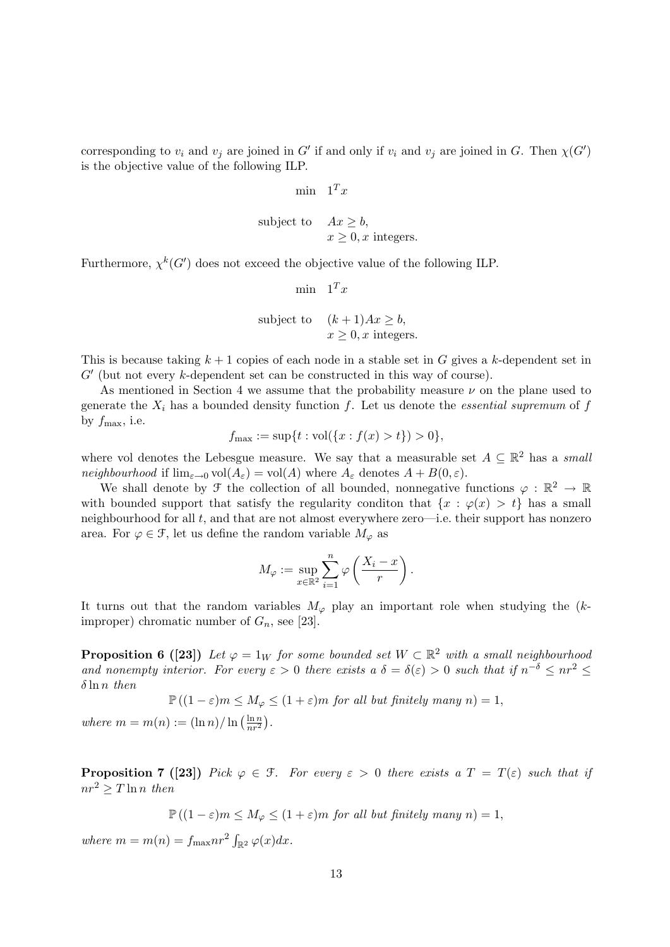corresponding to  $v_i$  and  $v_j$  are joined in G' if and only if  $v_i$  and  $v_j$  are joined in G. Then  $\chi(G')$ is the objective value of the following ILP.

$$
\min \quad 1^T x
$$

subject to 
$$
Ax \geq b
$$
,  
\n $x \geq 0$ , x integers.

Furthermore,  $\chi^k(G')$  does not exceed the objective value of the following ILP.

$$
\min \quad 1^T x
$$

subject to 
$$
(k+1)Ax \ge b
$$
,  
 $x \ge 0$ , x integers.

This is because taking  $k+1$  copies of each node in a stable set in G gives a k-dependent set in  $G'$  (but not every k-dependent set can be constructed in this way of course).

As mentioned in Section 4 we assume that the probability measure  $\nu$  on the plane used to generate the  $X_i$  has a bounded density function f. Let us denote the *essential supremum* of f by  $f_{\text{max}}$ , i.e.

$$
f_{\max} := \sup\{t : \text{vol}(\{x : f(x) > t\}) > 0\},\
$$

where vol denotes the Lebesgue measure. We say that a measurable set  $A \subseteq \mathbb{R}^2$  has a small neighbourhood if  $\lim_{\varepsilon \to 0}$  vol $(A_{\varepsilon}) = \text{vol}(A)$  where  $A_{\varepsilon}$  denotes  $A + B(0, \varepsilon)$ .

We shall denote by  $\mathcal F$  the collection of all bounded, nonnegative functions  $\varphi : \mathbb{R}^2 \to \mathbb{R}$ with bounded support that satisfy the regularity condition that  $\{x : \varphi(x) > t\}$  has a small neighbourhood for all t, and that are not almost everywhere zero—i.e. their support has nonzero area. For  $\varphi \in \mathcal{F}$ , let us define the random variable  $M_{\varphi}$  as

$$
M_{\varphi} := \sup_{x \in \mathbb{R}^2} \sum_{i=1}^n \varphi\left(\frac{X_i - x}{r}\right).
$$

It turns out that the random variables  $M_{\varphi}$  play an important role when studying the (kimproper) chromatic number of  $G_n$ , see [23].

**Proposition 6 ([23])** Let  $\varphi = 1_W$  for some bounded set  $W \subset \mathbb{R}^2$  with a small neighbourhood and nonempty interior. For every  $\varepsilon > 0$  there exists a  $\delta = \delta(\varepsilon) > 0$  such that if  $n^{-\delta} \leq nr^2 \leq$  $\delta$  ln n then

$$
\mathbb{P}((1-\varepsilon)m \le M_{\varphi} \le (1+\varepsilon)m \text{ for all but finitely many } n) = 1,
$$

where  $m = m(n) := (\ln n)/\ln(\frac{\ln n}{nr^2})$ .

**Proposition 7 ([23])** Pick  $\varphi \in \mathcal{F}$ . For every  $\varepsilon > 0$  there exists a  $T = T(\varepsilon)$  such that if  $nr^2 > T \ln n$  then

$$
\mathbb{P}((1-\varepsilon)m \le M_{\varphi} \le (1+\varepsilon)m \text{ for all but finitely many } n) = 1,
$$

where  $m = m(n) = f_{\text{max}} n r^2 \int_{\mathbb{R}^2} \varphi(x) dx$ .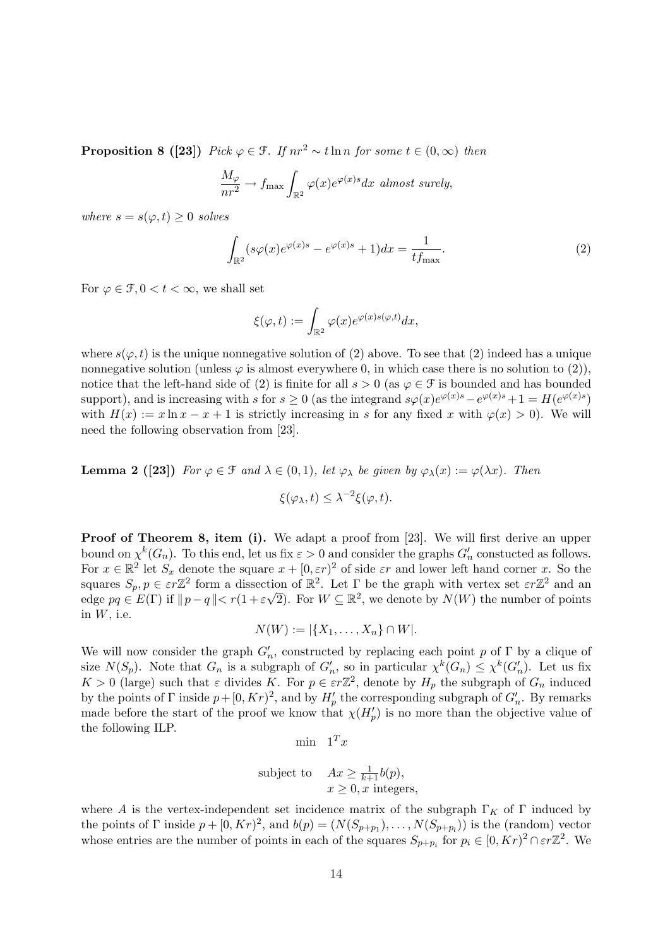**Proposition 8 ([23])** Pick  $\varphi \in \mathcal{F}$ . If  $nr^2 \sim t \ln n$  for some  $t \in (0, \infty)$  then

$$
\frac{M_{\varphi}}{nr^2} \to f_{\text{max}} \int_{\mathbb{R}^2} \varphi(x) e^{\varphi(x)s} dx \text{ almost surely,}
$$

where  $s = s(\varphi, t) \geq 0$  solves

$$
\int_{\mathbb{R}^2} (s\varphi(x)e^{\varphi(x)s} - e^{\varphi(x)s} + 1)dx = \frac{1}{tf_{\text{max}}}.
$$
\n(2)

For  $\varphi \in \mathcal{F}, 0 < t < \infty$ , we shall set

$$
\xi(\varphi,t):=\int_{\mathbb{R}^2}\varphi(x)e^{\varphi(x)s(\varphi,t)}dx,
$$

where  $s(\varphi, t)$  is the unique nonnegative solution of (2) above. To see that (2) indeed has a unique nonnegative solution (unless  $\varphi$  is almost everywhere 0, in which case there is no solution to (2)), notice that the left-hand side of (2) is finite for all  $s > 0$  (as  $\varphi \in \mathcal{F}$  is bounded and has bounded support), and is increasing with s for  $s \geq 0$  (as the integrand  $s\varphi(x)e^{\varphi(x)s} - e^{\varphi(x)s} + 1 = H(e^{\varphi(x)s})$ with  $H(x) := x \ln x - x + 1$  is strictly increasing in s for any fixed x with  $\varphi(x) > 0$ . We will need the following observation from [23].

**Lemma 2** ([23]) For  $\varphi \in \mathcal{F}$  and  $\lambda \in (0,1)$ , let  $\varphi_{\lambda}$  be given by  $\varphi_{\lambda}(x) := \varphi(\lambda x)$ . Then  $\xi(\varphi_\lambda, t) \leq \lambda^{-2} \xi(\varphi, t).$ 

Proof of Theorem 8, item (i). We adapt a proof from [23]. We will first derive an upper bound on  $\chi^k(G_n)$ . To this end, let us fix  $\varepsilon > 0$  and consider the graphs  $G'_n$  constucted as follows. For  $x \in \mathbb{R}^2$  let  $S_x$  denote the square  $x + [0, \varepsilon r]^2$  of side  $\varepsilon r$  and lower left hand corner x. So the squares  $S_p, p \in \varepsilon r \mathbb{Z}^2$  form a dissection of  $\mathbb{R}^2$ . Let  $\Gamma$  be the graph with vertex set  $\varepsilon r \mathbb{Z}^2$  and an edge  $pq \in E(\Gamma)$  if  $||p-q|| < r(1+\varepsilon\sqrt{2})$ . For  $W \subseteq \mathbb{R}^2$ , we denote by  $N(W)$  the number of points in  $W$ , i.e.

$$
N(W) := |\{X_1, \ldots, X_n\} \cap W|.
$$

We will now consider the graph  $G'_n$ , constructed by replacing each point p of  $\Gamma$  by a clique of size  $N(S_p)$ . Note that  $G_n$  is a subgraph of  $G'_n$ , so in particular  $\chi^k(G_n) \leq \chi^k(G'_n)$ . Let us fix  $K > 0$  (large) such that  $\varepsilon$  divides K. For  $p \in \varepsilon r \mathbb{Z}^2$ , denote by  $H_p$  the subgraph of  $G_n$  induced by the points of  $\Gamma$  inside  $p + [0, Kr)^2$ , and by  $H'_p$  the corresponding subgraph of  $G'_n$ . By remarks made before the start of the proof we know that  $\chi(H_p')$  is no more than the objective value of the following ILP.

min  $1^T x$ 

subject to 
$$
Ax \ge \frac{1}{k+1}b(p)
$$
,  
  $x \ge 0$ , x integers,

where A is the vertex-independent set incidence matrix of the subgraph  $\Gamma_K$  of  $\Gamma$  induced by the points of  $\Gamma$  inside  $p + [0, Kr)^2$ , and  $b(p) = (N(S_{p+p_1}), \ldots, N(S_{p+p_l}))$  is the (random) vector whose entries are the number of points in each of the squares  $S_{p+p_i}$  for  $p_i \in [0, Kr)^2 \cap \varepsilon r \mathbb{Z}^2$ . We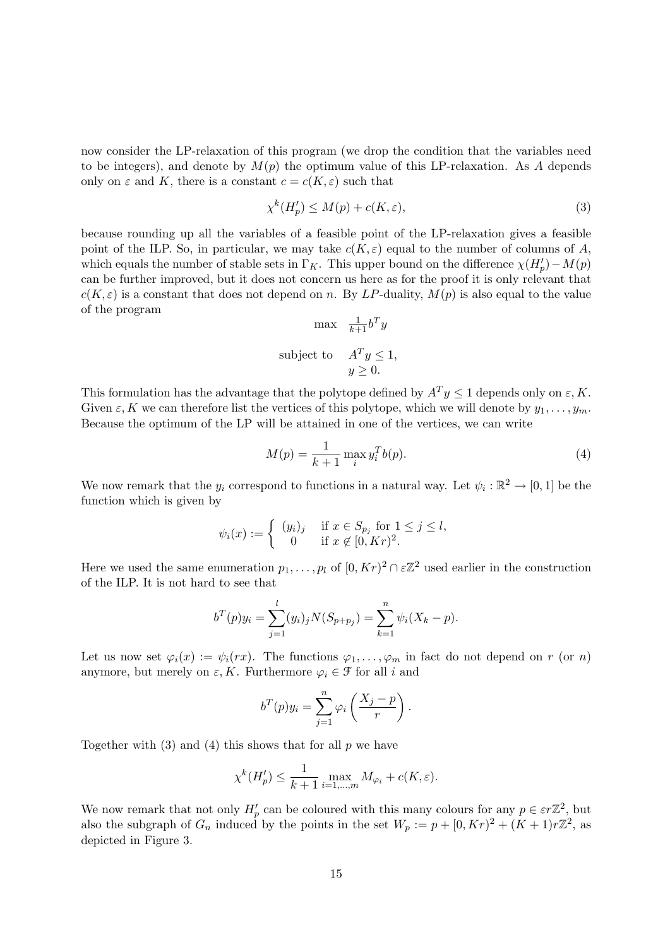now consider the LP-relaxation of this program (we drop the condition that the variables need to be integers), and denote by  $M(p)$  the optimum value of this LP-relaxation. As A depends only on  $\varepsilon$  and K, there is a constant  $c = c(K, \varepsilon)$  such that

$$
\chi^k(H_p') \le M(p) + c(K, \varepsilon),\tag{3}
$$

because rounding up all the variables of a feasible point of the LP-relaxation gives a feasible point of the ILP. So, in particular, we may take  $c(K, \varepsilon)$  equal to the number of columns of A, which equals the number of stable sets in  $\Gamma_K$ . This upper bound on the difference  $\chi(H'_p) - M(p)$ can be further improved, but it does not concern us here as for the proof it is only relevant that  $c(K, \varepsilon)$  is a constant that does not depend on n. By LP-duality,  $M(p)$  is also equal to the value of the program

$$
\max \frac{1}{k+1} b^T y
$$
  
subject to 
$$
A^T y \le 1,
$$

$$
y \ge 0.
$$

This formulation has the advantage that the polytope defined by  $A^T y \leq 1$  depends only on  $\varepsilon, K$ . Given  $\varepsilon, K$  we can therefore list the vertices of this polytope, which we will denote by  $y_1, \ldots, y_m$ . Because the optimum of the LP will be attained in one of the vertices, we can write

$$
M(p) = \frac{1}{k+1} \max_{i} y_i^T b(p).
$$
 (4)

We now remark that the  $y_i$  correspond to functions in a natural way. Let  $\psi_i : \mathbb{R}^2 \to [0,1]$  be the function which is given by

$$
\psi_i(x) := \begin{cases} (y_i)_j & \text{if } x \in S_{p_j} \text{ for } 1 \le j \le l, \\ 0 & \text{if } x \notin [0, Kr)^2. \end{cases}
$$

Here we used the same enumeration  $p_1, \ldots, p_l$  of  $[0, Kr)^2 \cap \varepsilon \mathbb{Z}^2$  used earlier in the construction of the ILP. It is not hard to see that

$$
b^{T}(p)y_{i} = \sum_{j=1}^{l} (y_{i})_{j} N(S_{p+p_{j}}) = \sum_{k=1}^{n} \psi_{i} (X_{k} - p).
$$

Let us now set  $\varphi_i(x) := \psi_i(rx)$ . The functions  $\varphi_1, \ldots, \varphi_m$  in fact do not depend on r (or n) anymore, but merely on  $\varepsilon, K$ . Furthermore  $\varphi_i \in \mathcal{F}$  for all i and

$$
b^{T}(p)y_{i} = \sum_{j=1}^{n} \varphi_{i} \left( \frac{X_{j} - p}{r} \right).
$$

Together with  $(3)$  and  $(4)$  this shows that for all p we have

$$
\chi^k(H_p') \le \frac{1}{k+1} \max_{i=1,\dots,m} M_{\varphi_i} + c(K,\varepsilon).
$$

We now remark that not only  $H'_p$  can be coloured with this many colours for any  $p \in \varepsilon r \mathbb{Z}^2$ , but also the subgraph of  $G_n$  induced by the points in the set  $W_p := p + [0, Kr)^2 + (K+1)r\mathbb{Z}^2$ , as depicted in Figure 3.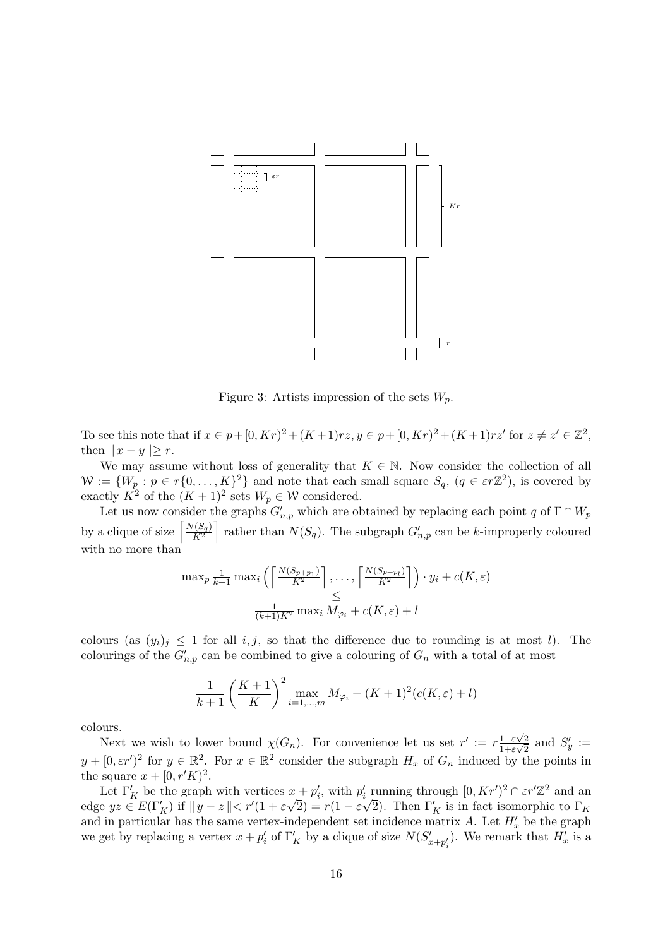

Figure 3: Artists impression of the sets  $W_p$ .

To see this note that if  $x \in p + [0, Kr)^2 + (K+1)rz, y \in p + [0, Kr)^2 + (K+1)rz'$  for  $z \neq z' \in \mathbb{Z}^2$ , then  $||x - y|| \geq r$ .

We may assume without loss of generality that  $K \in \mathbb{N}$ . Now consider the collection of all  $W := \{W_p : p \in r\{0, \ldots, K\}^2\}$  and note that each small square  $S_q$ ,  $(q \in \varepsilon r \mathbb{Z}^2)$ , is covered by exactly  $K^2$  of the  $(K + 1)^2$  sets  $W_p \in \mathcal{W}$  considered.

Let us now consider the graphs  $G'_{n,p}$  which are obtained by replacing each point q of  $\Gamma \cap W_p$ by a clique of size  $\left[\frac{N(S_q)}{K^2}\right]$  $\left[\frac{N(S_q)}{K^2}\right]$  rather than  $N(S_q)$ . The subgraph  $G'_{n,p}$  can be k-improperly coloured with no more than

$$
\max_{p} \frac{1}{k+1} \max_{i} \left( \left\lceil \frac{N(S_{p+p_1})}{K^2} \right\rceil, \dots, \left\lceil \frac{N(S_{p+p_l})}{K^2} \right\rceil \right) \cdot y_i + c(K, \varepsilon)
$$

$$
\leq
$$

$$
\frac{1}{(k+1)K^2} \max_{i} M_{\varphi_i} + c(K, \varepsilon) + l
$$

colours (as  $(y_i)_j \leq 1$  for all  $i, j$ , so that the difference due to rounding is at most l). The colourings of the  $G'_{n,p}$  can be combined to give a colouring of  $G_n$  with a total of at most

$$
\frac{1}{k+1} \left( \frac{K+1}{K} \right)^2 \max_{i=1,...,m} M_{\varphi_i} + (K+1)^2 (c(K, \varepsilon) + l)
$$

colours.

Next we wish to lower bound  $\chi(G_n)$ . For convenience let us set  $r' := r \frac{1 - \varepsilon \sqrt{2}}{1 + \varepsilon \sqrt{2}}$  $\frac{1-\varepsilon\sqrt{2}}{1+\varepsilon\sqrt{2}}$  and  $S'_y :=$  $y + [0, \varepsilon r']^2$  for  $y \in \mathbb{R}^2$ . For  $x \in \mathbb{R}^2$  consider the subgraph  $H_x$  of  $G_n$  induced by the points in the square  $x + [0, r'K)^2$ .

Let  $\Gamma'_K$  be the graph with vertices  $x + p'_i$ , with  $p'_i$  running through  $[0, Kr')^2 \cap \varepsilon r' \mathbb{Z}^2$  and an edge  $yz \in E(\Gamma_K')$  if  $||y - z|| < r'(1 + \varepsilon\sqrt{2}) = r(1 - \varepsilon\sqrt{2})$ . Then  $\Gamma_K'$  is in fact isomorphic to  $\Gamma_K$ and in particular has the same vertex-independent set incidence matrix A. Let  $H'_x$  be the graph we get by replacing a vertex  $x + p'_i$  of  $\Gamma'_K$  by a clique of size  $N(S'_{x+p'_i})$ . We remark that  $H'_x$  is a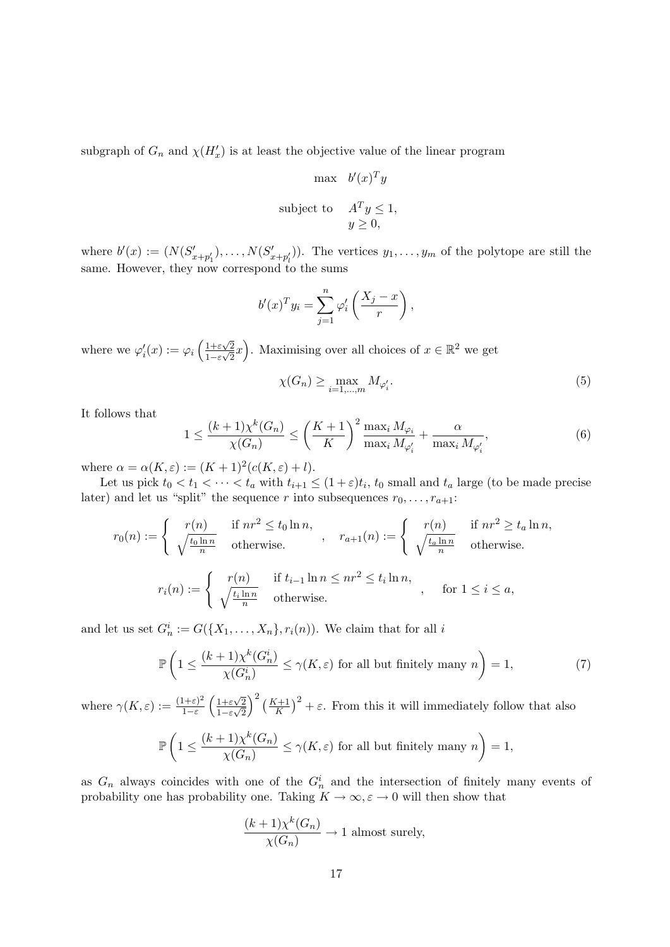subgraph of  $G_n$  and  $\chi(H'_x)$  is at least the objective value of the linear program

$$
\max \quad b'(x)^T y
$$
\n
$$
\text{subject to} \quad A^T y \le 1,
$$
\n
$$
y \ge 0,
$$

where  $b'(x) := (N(S'_{x+p'_1}), \ldots, N(S'_{x+p'_l}))$ . The vertices  $y_1, \ldots, y_m$  of the polytope are still the same. However, they now correspond to the sums

$$
b'(x)^T y_i = \sum_{j=1}^n \varphi'_i \left( \frac{X_j - x}{r} \right),
$$

where we  $\varphi'_i(x) := \varphi_i \left( \frac{1+\varepsilon\sqrt{2}}{1-\varepsilon\sqrt{2}} \right)$  $\frac{1+\varepsilon\sqrt{2}}{1-\varepsilon\sqrt{2}}x$ . Maximising over all choices of  $x \in \mathbb{R}^2$  we get

$$
\chi(G_n) \ge \max_{i=1,\dots,m} M_{\varphi'_i}.\tag{5}
$$

It follows that

$$
1 \le \frac{(k+1)\chi^k(G_n)}{\chi(G_n)} \le \left(\frac{K+1}{K}\right)^2 \frac{\max_i M_{\varphi_i}}{\max_i M_{\varphi_i'}} + \frac{\alpha}{\max_i M_{\varphi_i'}},\tag{6}
$$

where  $\alpha = \alpha(K, \varepsilon) := (K+1)^2(c(K, \varepsilon) + l).$ 

Let us pick  $t_0 < t_1 < \cdots < t_a$  with  $t_{i+1} \leq (1+\varepsilon)t_i$ ,  $t_0$  small and  $t_a$  large (to be made precise later) and let us "split" the sequence r into subsequences  $r_0, \ldots, r_{a+1}$ :

$$
r_0(n) := \begin{cases} r(n) & \text{if } nr^2 \le t_0 \ln n, \\ \sqrt{\frac{t_0 \ln n}{n}} & \text{otherwise.} \end{cases}, \quad r_{a+1}(n) := \begin{cases} r(n) & \text{if } nr^2 \ge t_a \ln n, \\ \sqrt{\frac{t_a \ln n}{n}} & \text{otherwise.} \end{cases}
$$

$$
r_i(n) := \begin{cases} r(n) & \text{if } t_{i-1} \ln n \le nr^2 \le t_i \ln n, \\ \sqrt{\frac{t_i \ln n}{n}} & \text{otherwise.} \end{cases}, \quad \text{for } 1 \le i \le a,
$$

and let us set  $G_n^i := G({X_1, ..., X_n}, r_i(n))$ . We claim that for all i

$$
\mathbb{P}\left(1 \le \frac{(k+1)\chi^k(G_n^i)}{\chi(G_n^i)} \le \gamma(K,\varepsilon) \text{ for all but finitely many } n\right) = 1,\tag{7}
$$

where  $\gamma(K,\varepsilon) := \frac{(1+\varepsilon)^2}{1-\varepsilon}$  $rac{1+\varepsilon^2}{1-\varepsilon}\left(\frac{1+\varepsilon\sqrt{2}}{1-\varepsilon\sqrt{2}}\right)$  $\frac{1+\varepsilon\sqrt{2}}{1-\varepsilon\sqrt{2}}$  $\int_{0}^{2} \left(\frac{K+1}{K}\right)^{2} + \varepsilon$ . From this it will immediately follow that also

$$
\mathbb{P}\left(1 \le \frac{(k+1)\chi^k(G_n)}{\chi(G_n)} \le \gamma(K,\varepsilon) \text{ for all but finitely many } n\right) = 1,
$$

as  $G_n$  always coincides with one of the  $G_n^i$  and the intersection of finitely many events of probability one has probability one. Taking  $K \to \infty, \varepsilon \to 0$  will then show that

$$
\frac{(k+1)\chi^k(G_n)}{\chi(G_n)} \to 1
$$
 almost surely,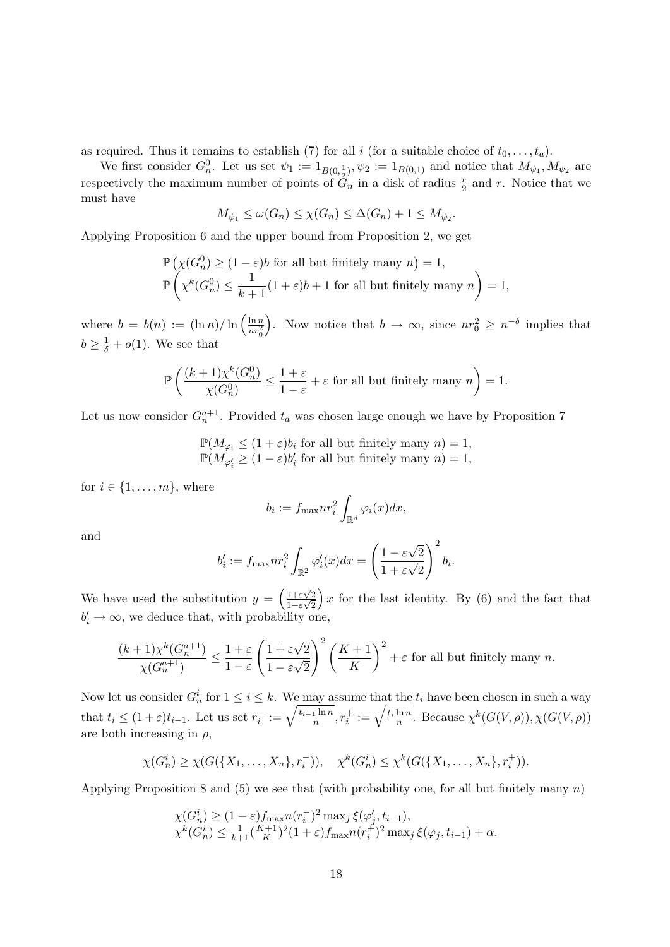as required. Thus it remains to establish (7) for all i (for a suitable choice of  $t_0, \ldots, t_a$ ).

We first consider  $G_n^0$ . Let us set  $\psi_1 := 1_{B(0,\frac{1}{2})}$ ,  $\psi_2 := 1_{B(0,1)}$  and notice that  $M_{\psi_1}, M_{\psi_2}$  are respectively the maximum number of points of  $G_n$  in a disk of radius  $\frac{r}{2}$  and r. Notice that we must have

$$
M_{\psi_1} \le \omega(G_n) \le \chi(G_n) \le \Delta(G_n) + 1 \le M_{\psi_2}.
$$

Applying Proposition 6 and the upper bound from Proposition 2, we get

$$
\mathbb{P}\left(\chi(G_n^0) \ge (1-\varepsilon)b \text{ for all but finitely many } n\right) = 1,
$$
  

$$
\mathbb{P}\left(\chi^k(G_n^0) \le \frac{1}{k+1}(1+\varepsilon)b + 1 \text{ for all but finitely many } n\right) = 1,
$$

where  $b = b(n) := (\ln n)/\ln\left(\frac{\ln n}{n r_0^2}\right)$ ). Now notice that  $b \to \infty$ , since  $nr_0^2 \geq n^{-\delta}$  implies that  $b \geq \frac{1}{\delta} + o(1)$ . We see that

$$
\mathbb{P}\left(\frac{(k+1)\chi^k(G_n^0)}{\chi(G_n^0)} \le \frac{1+\varepsilon}{1-\varepsilon} + \varepsilon \text{ for all but finitely many } n\right) = 1.
$$

Let us now consider  $G_n^{a+1}$ . Provided  $t_a$  was chosen large enough we have by Proposition 7

$$
\mathbb{P}(M_{\varphi_i} \leq (1+\varepsilon)b_i \text{ for all but finitely many } n) = 1,\\ \mathbb{P}(M_{\varphi_i'} \geq (1-\varepsilon)b_i' \text{ for all but finitely many } n) = 1,
$$

for  $i \in \{1, \ldots, m\}$ , where

$$
b_i := f_{\max} nr_i^2 \int_{\mathbb{R}^d} \varphi_i(x) dx,
$$

and

$$
b'_{i} := f_{\max} nr_{i}^{2} \int_{\mathbb{R}^{2}} \varphi'_{i}(x) dx = \left(\frac{1 - \varepsilon\sqrt{2}}{1 + \varepsilon\sqrt{2}}\right)^{2} b_{i}.
$$

We have used the substitution  $y = \left(\frac{1+\epsilon\sqrt{2}}{1-\epsilon\sqrt{2}}\right)$  $\frac{1+\varepsilon\sqrt{2}}{1-\varepsilon\sqrt{2}}$  $x$  for the last identity. By  $(6)$  and the fact that  $b_i' \rightarrow \infty$ , we deduce that, with probability one,

$$
\frac{(k+1)\chi^k(G_n^{a+1})}{\chi(G_n^{a+1})} \le \frac{1+\varepsilon}{1-\varepsilon}\left(\frac{1+\varepsilon\sqrt{2}}{1-\varepsilon\sqrt{2}}\right)^2\left(\frac{K+1}{K}\right)^2 + \varepsilon
$$
 for all but finitely many  $n$ .

Now let us consider  $G_n^i$  for  $1 \leq i \leq k$ . We may assume that the  $t_i$  have been chosen in such a way that  $t_i \leq (1+\varepsilon)t_{i-1}$ . Let us set  $r_i^- := \sqrt{\frac{t_{i-1}\ln n}{n}}$ ,  $r_i^+ := \sqrt{\frac{t_i\ln n}{n}}$ . Because  $\chi^k(G(V,\rho))$ ,  $\chi(G(V,\rho))$ are both increasing in  $\rho$ ,

$$
\chi(G_n^i) \geq \chi(G(\lbrace X_1,\ldots,X_n \rbrace,r_i^-)), \quad \chi^k(G_n^i) \leq \chi^k(G(\lbrace X_1,\ldots,X_n \rbrace,r_i^+)).
$$

Applying Proposition 8 and (5) we see that (with probability one, for all but finitely many  $n$ )

$$
\chi(G_n^i) \ge (1 - \varepsilon) f_{\max} n(r_i^-)^2 \max_j \xi(\varphi'_j, t_{i-1}),
$$
  

$$
\chi^k(G_n^i) \le \frac{1}{k+1} (\frac{K+1}{K})^2 (1 + \varepsilon) f_{\max} n(r_i^+)^2 \max_j \xi(\varphi_j, t_{i-1}) + \alpha.
$$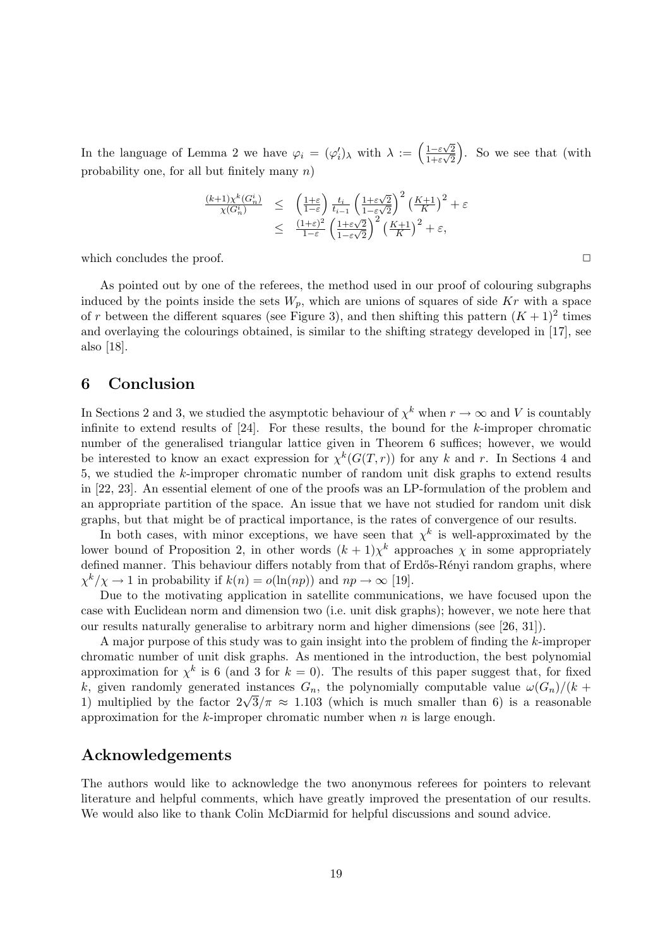In the language of Lemma 2 we have  $\varphi_i = (\varphi'_i)_\lambda$  with  $\lambda := \left( \frac{1 - \varepsilon \sqrt{2}}{1 + \varepsilon \sqrt{2}} \right)$  $\frac{1-\varepsilon\sqrt{2}}{1+\varepsilon\sqrt{2}}$  . So we see that (with probability one, for all but finitely many  $n$ )

$$
\frac{(k+1)\chi^{k}(G_n^i)}{\chi(G_n^i)} \leq \left(\frac{1+\varepsilon}{1-\varepsilon}\right) \frac{t_i}{t_{i-1}} \left(\frac{1+\varepsilon\sqrt{2}}{1-\varepsilon\sqrt{2}}\right)^2 \left(\frac{K+1}{K}\right)^2 + \varepsilon
$$
  

$$
\leq \frac{(1+\varepsilon)^2}{1-\varepsilon} \left(\frac{1+\varepsilon\sqrt{2}}{1-\varepsilon\sqrt{2}}\right)^2 \left(\frac{K+1}{K}\right)^2 + \varepsilon,
$$

which concludes the proof.  $\Box$ 

As pointed out by one of the referees, the method used in our proof of colouring subgraphs induced by the points inside the sets  $W_p$ , which are unions of squares of side Kr with a space of r between the different squares (see Figure 3), and then shifting this pattern  $(K + 1)^2$  times and overlaying the colourings obtained, is similar to the shifting strategy developed in [17], see also [18].

#### 6 Conclusion

In Sections 2 and 3, we studied the asymptotic behaviour of  $\chi^k$  when  $r \to \infty$  and V is countably infinite to extend results of  $[24]$ . For these results, the bound for the k-improper chromatic number of the generalised triangular lattice given in Theorem 6 suffices; however, we would be interested to know an exact expression for  $\chi^k(G(T,r))$  for any k and r. In Sections 4 and 5, we studied the k-improper chromatic number of random unit disk graphs to extend results in [22, 23]. An essential element of one of the proofs was an LP-formulation of the problem and an appropriate partition of the space. An issue that we have not studied for random unit disk graphs, but that might be of practical importance, is the rates of convergence of our results.

In both cases, with minor exceptions, we have seen that  $\chi^k$  is well-approximated by the lower bound of Proposition 2, in other words  $(k+1)\chi^k$  approaches  $\chi$  in some appropriately defined manner. This behaviour differs notably from that of Erdős-Rényi random graphs, where  $\chi^k/\chi \to 1$  in probability if  $k(n) = o(\ln(np))$  and  $np \to \infty$  [19].

Due to the motivating application in satellite communications, we have focused upon the case with Euclidean norm and dimension two (i.e. unit disk graphs); however, we note here that our results naturally generalise to arbitrary norm and higher dimensions (see [26, 31]).

A major purpose of this study was to gain insight into the problem of finding the k-improper chromatic number of unit disk graphs. As mentioned in the introduction, the best polynomial approximation for  $\chi^k$  is 6 (and 3 for  $k = 0$ ). The results of this paper suggest that, for fixed k, given randomly generated instances  $G_n$ , the polynomially computable value  $\omega(G_n)/(k +$  $\kappa$ , given randomly generated instances  $G_n$ , the polynomially computable value  $\omega(G_n)/(\kappa+1)$  multiplied by the factor  $2\sqrt{3}/\pi \approx 1.103$  (which is much smaller than 6) is a reasonable approximation for the  $k$ -improper chromatic number when  $n$  is large enough.

## Acknowledgements

The authors would like to acknowledge the two anonymous referees for pointers to relevant literature and helpful comments, which have greatly improved the presentation of our results. We would also like to thank Colin McDiarmid for helpful discussions and sound advice.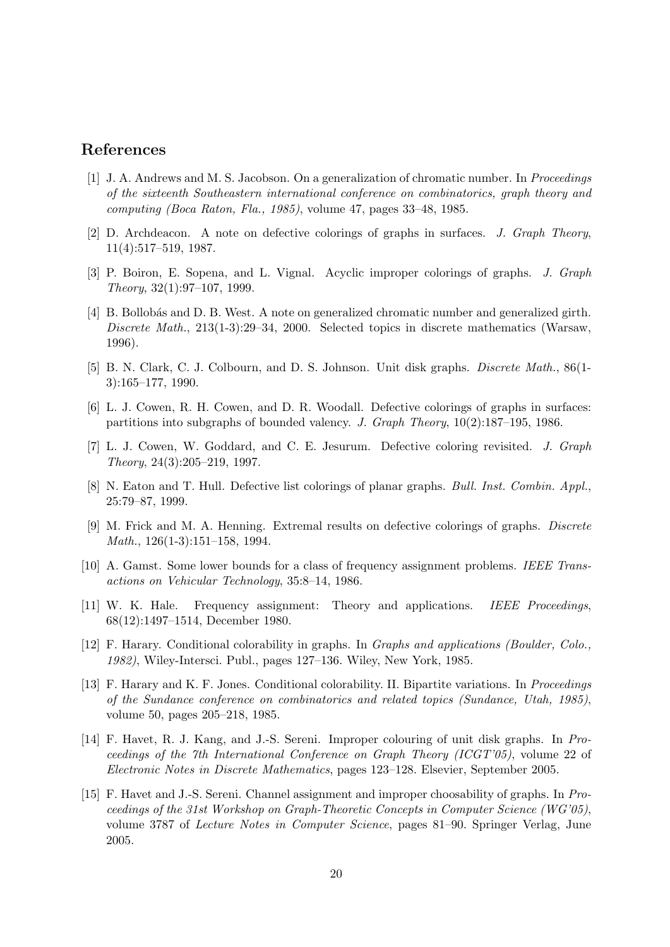# References

- [1] J. A. Andrews and M. S. Jacobson. On a generalization of chromatic number. In Proceedings of the sixteenth Southeastern international conference on combinatorics, graph theory and computing (Boca Raton, Fla., 1985), volume 47, pages 33–48, 1985.
- [2] D. Archdeacon. A note on defective colorings of graphs in surfaces. J. Graph Theory, 11(4):517–519, 1987.
- [3] P. Boiron, E. Sopena, and L. Vignal. Acyclic improper colorings of graphs. J. Graph Theory, 32(1):97–107, 1999.
- [4] B. Bollobás and D. B. West. A note on generalized chromatic number and generalized girth. Discrete Math., 213(1-3):29–34, 2000. Selected topics in discrete mathematics (Warsaw, 1996).
- [5] B. N. Clark, C. J. Colbourn, and D. S. Johnson. Unit disk graphs. Discrete Math., 86(1- 3):165–177, 1990.
- [6] L. J. Cowen, R. H. Cowen, and D. R. Woodall. Defective colorings of graphs in surfaces: partitions into subgraphs of bounded valency. J. Graph Theory, 10(2):187–195, 1986.
- [7] L. J. Cowen, W. Goddard, and C. E. Jesurum. Defective coloring revisited. J. Graph Theory, 24(3):205–219, 1997.
- [8] N. Eaton and T. Hull. Defective list colorings of planar graphs. Bull. Inst. Combin. Appl., 25:79–87, 1999.
- [9] M. Frick and M. A. Henning. Extremal results on defective colorings of graphs. Discrete Math., 126(1-3):151–158, 1994.
- [10] A. Gamst. Some lower bounds for a class of frequency assignment problems. IEEE Transactions on Vehicular Technology, 35:8–14, 1986.
- [11] W. K. Hale. Frequency assignment: Theory and applications. IEEE Proceedings, 68(12):1497–1514, December 1980.
- [12] F. Harary. Conditional colorability in graphs. In Graphs and applications (Boulder, Colo., 1982), Wiley-Intersci. Publ., pages 127–136. Wiley, New York, 1985.
- [13] F. Harary and K. F. Jones. Conditional colorability. II. Bipartite variations. In Proceedings of the Sundance conference on combinatorics and related topics (Sundance, Utah, 1985), volume 50, pages 205–218, 1985.
- [14] F. Havet, R. J. Kang, and J.-S. Sereni. Improper colouring of unit disk graphs. In Proceedings of the 7th International Conference on Graph Theory (ICGT'05), volume 22 of Electronic Notes in Discrete Mathematics, pages 123–128. Elsevier, September 2005.
- [15] F. Havet and J.-S. Sereni. Channel assignment and improper choosability of graphs. In Proceedings of the 31st Workshop on Graph-Theoretic Concepts in Computer Science (WG'05), volume 3787 of Lecture Notes in Computer Science, pages 81–90. Springer Verlag, June 2005.